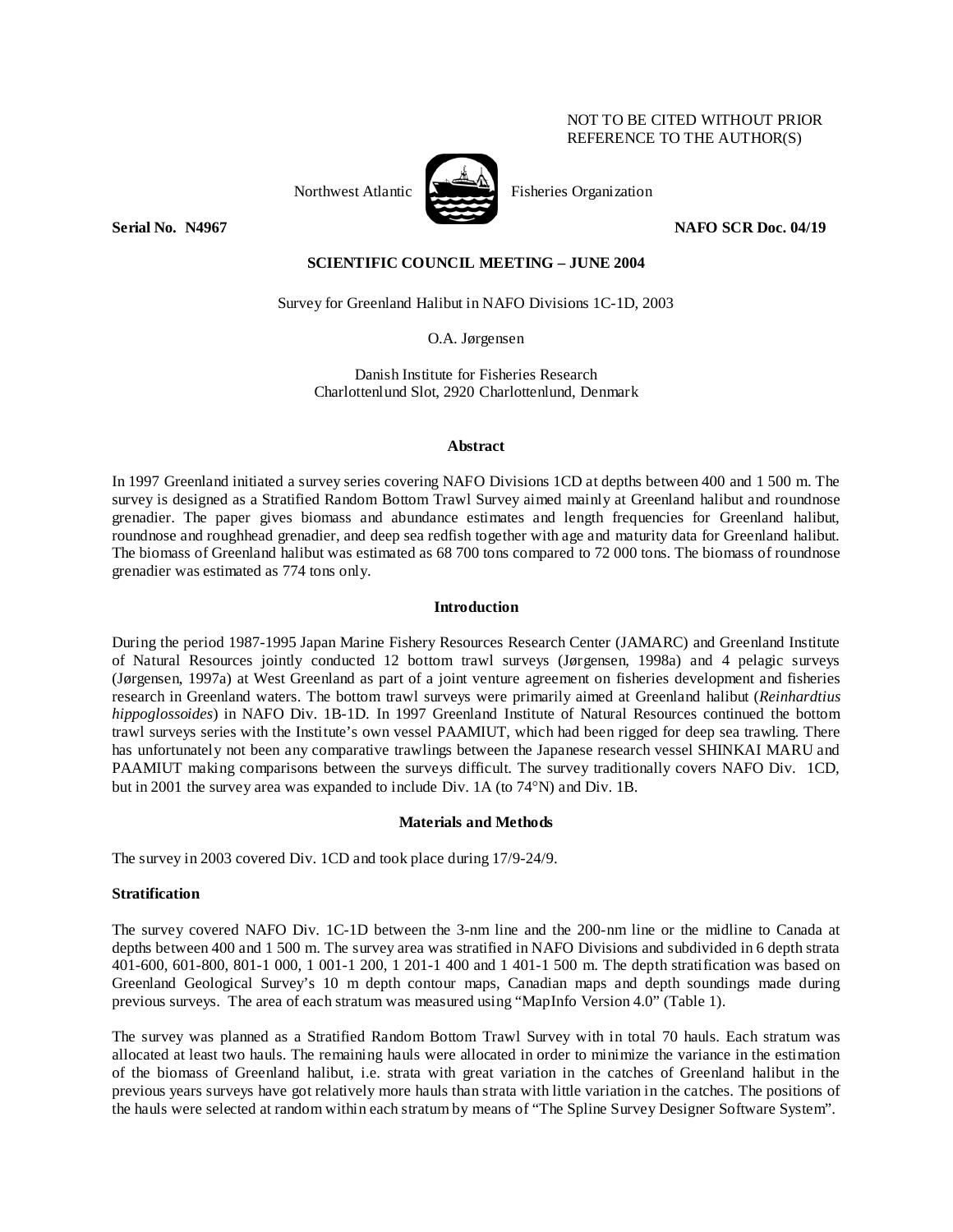# NOT TO BE CITED WITHOUT PRIOR REFERENCE TO THE AUTHOR(S)



Northwest Atlantic **Northus** Fisheries Organization

**Serial No. (N4967** NAFO SCR Doc. 04/19 **NAFO** SCR Doc. 04/19

# **SCIENTIFIC COUNCIL MEETING – JUNE 2004**

Survey for Greenland Halibut in NAFO Divisions 1C-1D, 2003

O.A. Jørgensen

Danish Institute for Fisheries Research Charlottenlund Slot, 2920 Charlottenlund, Denmark

#### **Abstract**

In 1997 Greenland initiated a survey series covering NAFO Divisions 1CD at depths between 400 and 1 500 m. The survey is designed as a Stratified Random Bottom Trawl Survey aimed mainly at Greenland halibut and roundnose grenadier. The paper gives biomass and abundance estimates and length frequencies for Greenland halibut, roundnose and roughhead grenadier, and deep sea redfish together with age and maturity data for Greenland halibut. The biomass of Greenland halibut was estimated as 68 700 tons compared to 72 000 tons. The biomass of roundnose grenadier was estimated as 774 tons only.

# **Introduction**

During the period 1987-1995 Japan Marine Fishery Resources Research Center (JAMARC) and Greenland Institute of Natural Resources jointly conducted 12 bottom trawl surveys (Jørgensen, 1998a) and 4 pelagic surveys (Jørgensen, 1997a) at West Greenland as part of a joint venture agreement on fisheries development and fisheries research in Greenland waters. The bottom trawl surveys were primarily aimed at Greenland halibut (*Reinhardtius hippoglossoides*) in NAFO Div. 1B-1D. In 1997 Greenland Institute of Natural Resources continued the bottom trawl surveys series with the Institute's own vessel PAAMIUT, which had been rigged for deep sea trawling. There has unfortunately not been any comparative trawlings between the Japanese research vessel SHINKAI MARU and PAAMIUT making comparisons between the surveys difficult. The survey traditionally covers NAFO Div. 1CD, but in 2001 the survey area was expanded to include Div. 1A (to 74°N) and Div. 1B.

### **Materials and Methods**

The survey in 2003 covered Div. 1CD and took place during 17/9-24/9.

#### **Stratification**

The survey covered NAFO Div. 1C-1D between the 3-nm line and the 200-nm line or the midline to Canada at depths between 400 and 1 500 m. The survey area was stratified in NAFO Divisions and subdivided in 6 depth strata 401-600, 601-800, 801-1 000, 1 001-1 200, 1 201-1 400 and 1 401-1 500 m. The depth stratification was based on Greenland Geological Survey's 10 m depth contour maps, Canadian maps and depth soundings made during previous surveys. The area of each stratum was measured using "MapInfo Version 4.0" (Table 1).

The survey was planned as a Stratified Random Bottom Trawl Survey with in total 70 hauls. Each stratum was allocated at least two hauls. The remaining hauls were allocated in order to minimize the variance in the estimation of the biomass of Greenland halibut, i.e. strata with great variation in the catches of Greenland halibut in the previous years surveys have got relatively more hauls than strata with little variation in the catches. The positions of the hauls were selected at random within each stratum by means of "The Spline Survey Designer Software System".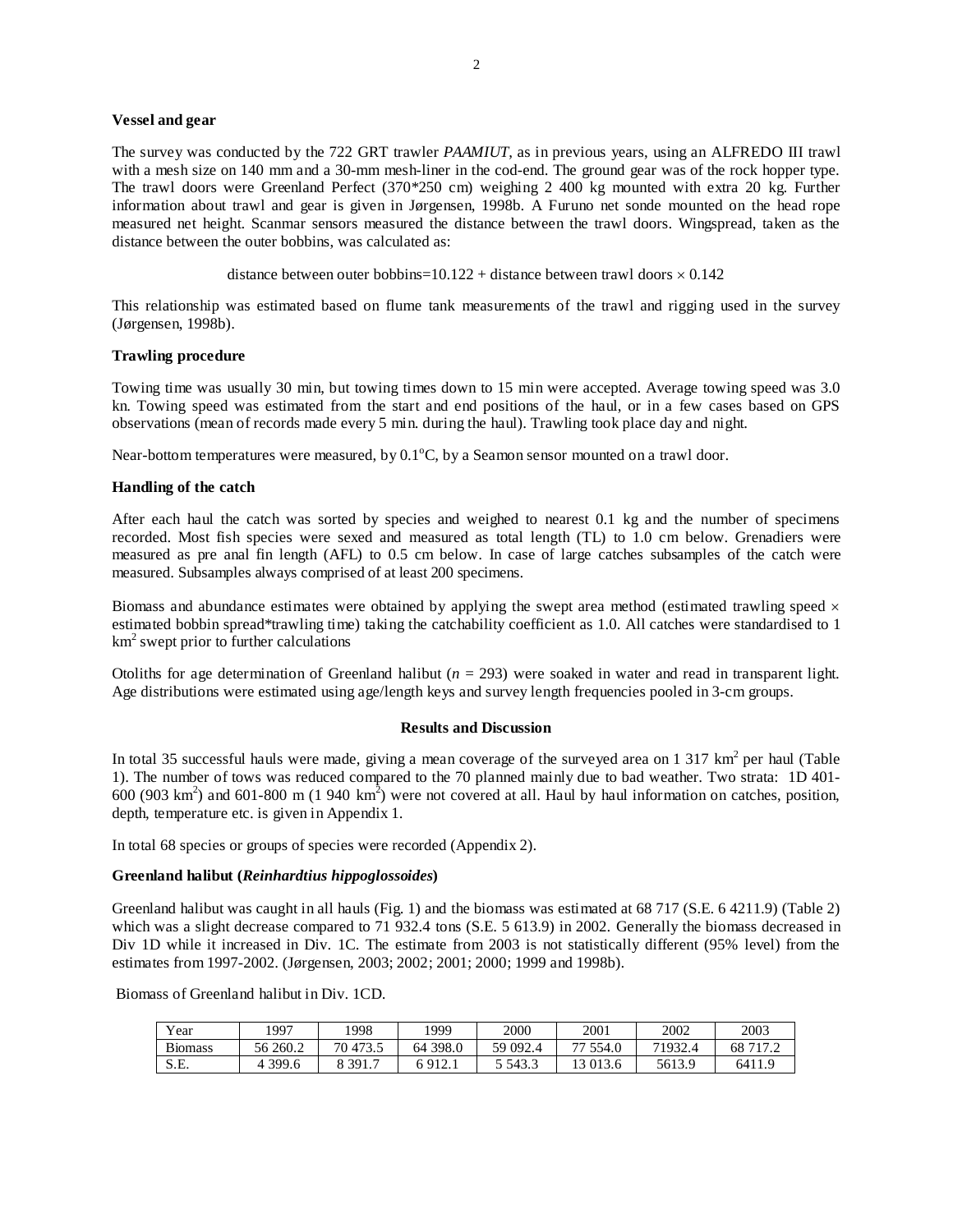#### **Vessel and gear**

The survey was conducted by the 722 GRT trawler *PAAMIUT*, as in previous years, using an ALFREDO III trawl with a mesh size on 140 mm and a 30-mm mesh-liner in the cod-end. The ground gear was of the rock hopper type. The trawl doors were Greenland Perfect (370\*250 cm) weighing 2 400 kg mounted with extra 20 kg. Further information about trawl and gear is given in Jørgensen, 1998b. A Furuno net sonde mounted on the head rope measured net height. Scanmar sensors measured the distance between the trawl doors. Wingspread, taken as the distance between the outer bobbins, was calculated as:

```
distance between outer bobbins=10.122 + distance between trawl doors \times 0.142
```
This relationship was estimated based on flume tank measurements of the trawl and rigging used in the survey (Jørgensen, 1998b).

# **Trawling procedure**

Towing time was usually 30 min, but towing times down to 15 min were accepted. Average towing speed was 3.0 kn. Towing speed was estimated from the start and end positions of the haul, or in a few cases based on GPS observations (mean of records made every 5 min. during the haul). Trawling took place day and night.

Near-bottom temperatures were measured, by  $0.1^{\circ}$ C, by a Seamon sensor mounted on a trawl door.

#### **Handling of the catch**

After each haul the catch was sorted by species and weighed to nearest 0.1 kg and the number of specimens recorded. Most fish species were sexed and measured as total length (TL) to 1.0 cm below. Grenadiers were measured as pre anal fin length (AFL) to 0.5 cm below. In case of large catches subsamples of the catch were measured. Subsamples always comprised of at least 200 specimens.

Biomass and abundance estimates were obtained by applying the swept area method (estimated trawling speed  $\times$ estimated bobbin spread\*trawling time) taking the catchability coefficient as 1.0. All catches were standardised to 1 km2 swept prior to further calculations

Otoliths for age determination of Greenland halibut  $(n = 293)$  were soaked in water and read in transparent light. Age distributions were estimated using age/length keys and survey length frequencies pooled in 3-cm groups.

### **Results and Discussion**

In total 35 successful hauls were made, giving a mean coverage of the surveyed area on 1 317  $km^2$  per haul (Table 1). The number of tows was reduced compared to the 70 planned mainly due to bad weather. Two strata: 1D 401-  $600 (903 km<sup>2</sup>)$  and  $601-800$  m (1 940 km<sup>2</sup>) were not covered at all. Haul by haul information on catches, position, depth, temperature etc. is given in Appendix 1.

In total 68 species or groups of species were recorded (Appendix 2).

#### **Greenland halibut (***Reinhardtius hippoglossoides***)**

Greenland halibut was caught in all hauls (Fig. 1) and the biomass was estimated at 68 717 (S.E. 6 4211.9) (Table 2) which was a slight decrease compared to 71 932.4 tons (S.E. 5 613.9) in 2002. Generally the biomass decreased in Div 1D while it increased in Div. 1C. The estimate from 2003 is not statistically different (95% level) from the estimates from 1997-2002. (Jørgensen, 2003; 2002; 2001; 2000; 1999 and 1998b).

Biomass of Greenland halibut in Div. 1CD.

| Year          | 997       | 998      | 1999                 | 2000   | 2001        | 2002    | 2003     |
|---------------|-----------|----------|----------------------|--------|-------------|---------|----------|
| n.<br>Biomass | 56 260.2  | 70 473.5 | 398.0<br>64          | 59092. | 554.0<br>77 | 71932.4 | 68 717.2 |
| S.E.          | 4 3 9 9.6 | 391.,    | 912<br>$'1 \Delta.1$ | 5,543  | 13 013.6    | 5613.9  | 6411.9   |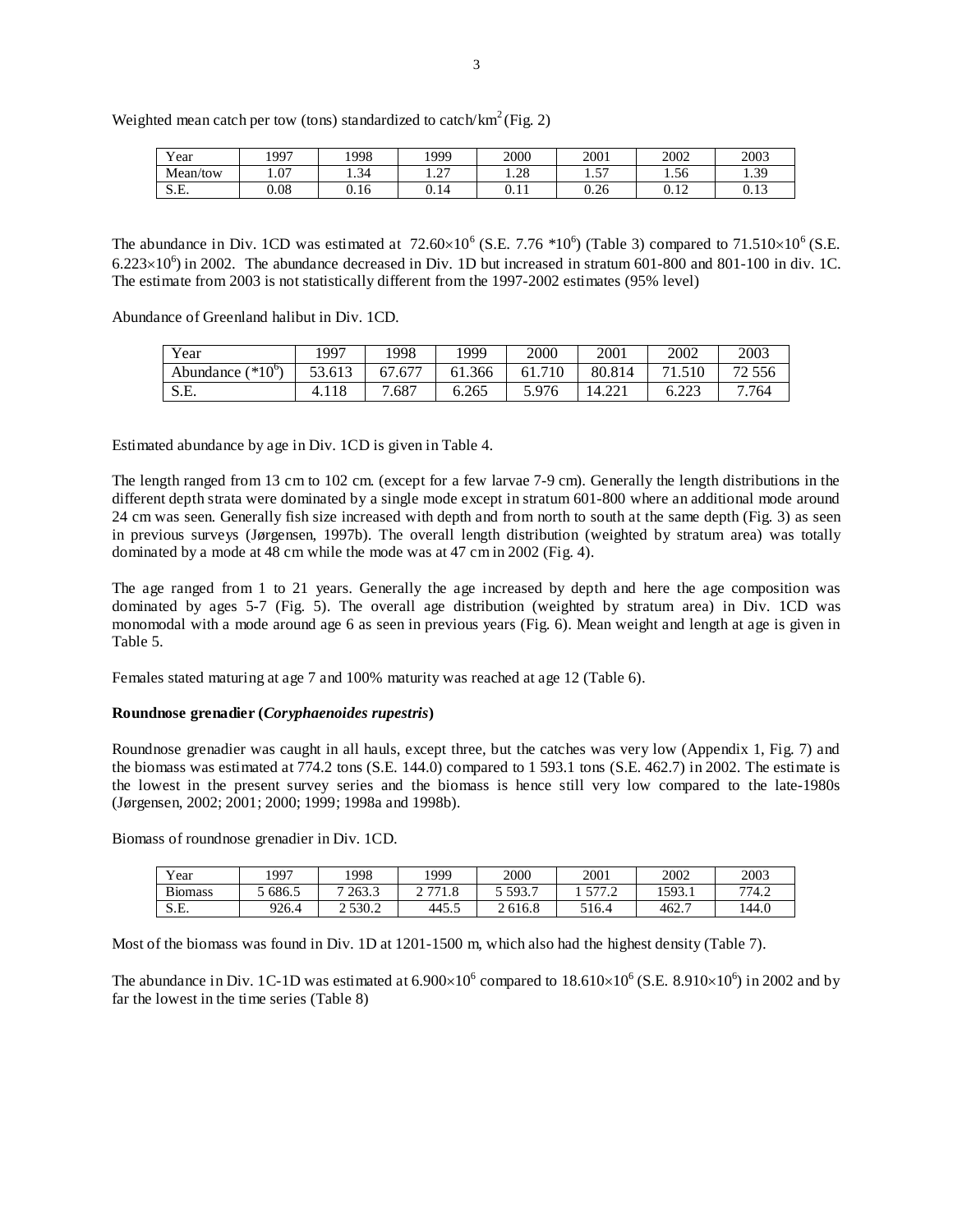| Weighted mean catch per tow (tons) standardized to catch/ $km^2$ (Fig. 2) |  |
|---------------------------------------------------------------------------|--|
|                                                                           |  |
|                                                                           |  |

| <b>TT</b><br>Year | 1997 | 1998            | 1999                   | 2000             | 2001                  | 2002                   | 2003             |
|-------------------|------|-----------------|------------------------|------------------|-----------------------|------------------------|------------------|
| Mean/tow          | 1.07 | $\sim$<br>1.54  | $\sim$<br>. . <u>.</u> | $\gamma$<br>1.40 | $\overline{a}$<br>1.J | $\sim$<br>1.56         | 30<br><b>1.J</b> |
| S E<br>.J.L.      | 0.08 | $\sim$<br>U. 16 | ∩<br>0.14              | v. 11            | 0.26                  | 1 <sub>2</sub><br>∪.⊥∠ | 0.13             |

The abundance in Div. 1CD was estimated at  $72.60 \times 10^6$  (S.E. 7.76  $*10^6$ ) (Table 3) compared to  $71.510 \times 10^6$  (S.E.  $6.223\times10^6$ ) in 2002. The abundance decreased in Div. 1D but increased in stratum 601-800 and 801-100 in div. 1C. The estimate from 2003 is not statistically different from the 1997-2002 estimates (95% level)

Abundance of Greenland halibut in Div. 1CD.

| Year                       | 1997   | .998   | 1999   | 2000   | 2001   | 2002           | 2003   |
|----------------------------|--------|--------|--------|--------|--------|----------------|--------|
| $*10^{\circ}$<br>Abundance | 53.613 | 67.677 | 61.366 | 61.710 | 80.814 | 1.510          | 72 556 |
| $S$ F<br>، سال ب           | 4.118  | /.687  | 6.265  | 5.976  | 14.221 | .22<br>ل کے دل | 7.764  |

Estimated abundance by age in Div. 1CD is given in Table 4.

The length ranged from 13 cm to 102 cm. (except for a few larvae 7-9 cm). Generally the length distributions in the different depth strata were dominated by a single mode except in stratum 601-800 where an additional mode around 24 cm was seen. Generally fish size increased with depth and from north to south at the same depth (Fig. 3) as seen in previous surveys (Jørgensen, 1997b). The overall length distribution (weighted by stratum area) was totally dominated by a mode at 48 cm while the mode was at 47 cm in 2002 (Fig. 4).

The age ranged from 1 to 21 years. Generally the age increased by depth and here the age composition was dominated by ages 5-7 (Fig. 5). The overall age distribution (weighted by stratum area) in Div. 1CD was monomodal with a mode around age 6 as seen in previous years (Fig. 6). Mean weight and length at age is given in Table 5.

Females stated maturing at age 7 and 100% maturity was reached at age 12 (Table 6).

### **Roundnose grenadier (***Coryphaenoides rupestris***)**

Roundnose grenadier was caught in all hauls, except three, but the catches was very low (Appendix 1, Fig. 7) and the biomass was estimated at 774.2 tons (S.E. 144.0) compared to 1 593.1 tons (S.E. 462.7) in 2002. The estimate is the lowest in the present survey series and the biomass is hence still very low compared to the late-1980s (Jørgensen, 2002; 2001; 2000; 1999; 1998a and 1998b).

Biomass of roundnose grenadier in Div. 1CD.

| $\mathbf{v}$<br>′ear | 997   | 1998        | 1999         | 2000    | 2001                  | 2002   | 2003  |
|----------------------|-------|-------------|--------------|---------|-----------------------|--------|-------|
| <b>Biomass</b>       | 686.5 | 7 263.3     | 771          | 593.7   | 577<br>$\cdot$ $\sim$ | 1593.1 | 774.2 |
| cг<br>.ت ۱           | 226.4 | 2 5 3 0 . 2 | 445. $\circ$ | 2 616.8 | 516.4                 | 462.   | 144.0 |

Most of the biomass was found in Div. 1D at 1201-1500 m, which also had the highest density (Table 7).

The abundance in Div. 1C-1D was estimated at  $6.900 \times 10^6$  compared to  $18.610 \times 10^6$  (S.E. 8.910×10<sup>6</sup>) in 2002 and by far the lowest in the time series (Table 8)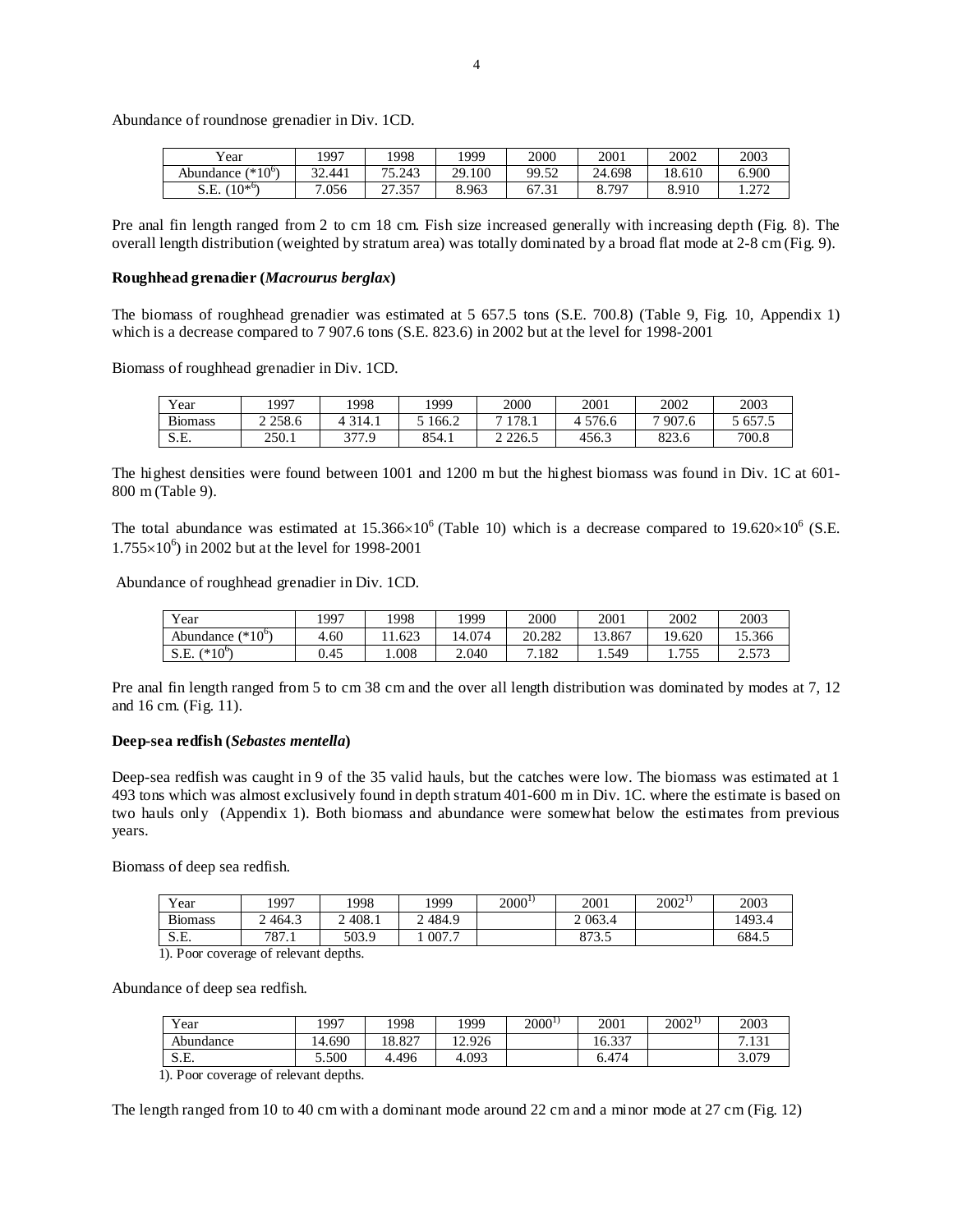| $v_{\text{ear}}$             | 1997   | 1998                            | 1999   | 2000                   | 2001   | 2002   | 2003                 |
|------------------------------|--------|---------------------------------|--------|------------------------|--------|--------|----------------------|
| $(*10^{\circ})$<br>Abundance | 32.441 | 75.243                          | 29.100 | 99.52                  | 24.698 | 18.610 | 6.900                |
| $10^{*6}$<br>S.E.            | 7.056  | $\mathcal{L}$<br>25<br>ر د ۱۰ ک | 8.963  | 67<br>$\sim$<br>ا د. ا | 8.797  | 8.910  | 272<br>1. <i>414</i> |

Pre anal fin length ranged from 2 to cm 18 cm. Fish size increased generally with increasing depth (Fig. 8). The overall length distribution (weighted by stratum area) was totally dominated by a broad flat mode at 2-8 cm (Fig. 9).

#### **Roughhead grenadier (***Macrourus berglax***)**

Abundance of roundnose grenadier in Div. 1CD.

The biomass of roughhead grenadier was estimated at 5 657.5 tons (S.E. 700.8) (Table 9, Fig. 10, Appendix 1) which is a decrease compared to 7 907.6 tons (S.E. 823.6) in 2002 but at the level for 1998-2001

Biomass of roughhead grenadier in Div. 1CD.

| Year           | 997         | 1998                              | 1999  | 2000  | 2001  | 2002           | 2003   |
|----------------|-------------|-----------------------------------|-------|-------|-------|----------------|--------|
| <b>Biomass</b> | 2 2 5 8 . 6 | 314.1<br>4                        | 166.2 | 178.1 | 576.6 | $-907_{\cdot}$ | 5657.5 |
| S.E.           | 250.1       | 277 O<br>$\overline{\phantom{a}}$ | 854.1 | 226.5 | 456.3 | 922<br>823.6   | 700.8  |

The highest densities were found between 1001 and 1200 m but the highest biomass was found in Div. 1C at 601- 800 m (Table 9).

The total abundance was estimated at  $15.366\times10^{6}$  (Table 10) which is a decrease compared to  $19.620\times10^{6}$  (S.E.  $1.755 \times 10^6$ ) in 2002 but at the level for 1998-2001

Abundance of roughhead grenadier in Div. 1CD.

| Year                        | 1997 | .998  | 1999   | 2000                              | 2001   | 2002                   | 2003              |
|-----------------------------|------|-------|--------|-----------------------------------|--------|------------------------|-------------------|
| $(10^{\circ})$<br>Abundance | 4.60 | 1.623 | 14.074 | 20.282                            | 13.867 | 19.620                 | 15.366            |
| (* $10^{\circ}$<br>S.E.     | 0.45 | 0.008 | 2.040  | $^{\prime}.182$<br>$\overline{ }$ | 1.549  | 755<br>1. <i>I J J</i> | n 572<br>د ر د. ۷ |

Pre anal fin length ranged from 5 to cm 38 cm and the over all length distribution was dominated by modes at 7, 12 and 16 cm. (Fig. 11).

#### **Deep-sea redfish (***Sebastes mentella***)**

Deep-sea redfish was caught in 9 of the 35 valid hauls, but the catches were low. The biomass was estimated at 1 493 tons which was almost exclusively found in depth stratum 401-600 m in Div. 1C. where the estimate is based on two hauls only (Appendix 1). Both biomass and abundance were somewhat below the estimates from previous years.

Biomass of deep sea redfish.

| Year           | 1997                | 1998   | 1999    | $2000^{1}$ | 2001      | $2002^{1}$ | 2003   |
|----------------|---------------------|--------|---------|------------|-----------|------------|--------|
| <b>Biomass</b> | 464.3               | 1408.1 | . 484.9 |            | 2 0 6 3.4 |            | 1493.4 |
| cг             | 707<br>$\delta/1.1$ | 503.9  | 007.7   |            | 873.5     |            | 684.5  |
| $\sim$ $\sim$  |                     |        |         |            |           |            |        |

1). Poor coverage of relevant depths.

Abundance of deep sea redfish.

| Year      | 1997                                 | 1998   | 1999  | $2000^{1}$ | 2001   | $2002^{17}$ | 2003          |  |  |  |
|-----------|--------------------------------------|--------|-------|------------|--------|-------------|---------------|--|--|--|
| Abundance | 14.690                               | 18.827 | 2.926 |            | 16.337 |             | 7121<br>'.131 |  |  |  |
| S.E.      | 5.500                                | 4.496  | 4.093 |            | ó.474  |             | 3.079         |  |  |  |
|           | 1) Door coverage of relations donths |        |       |            |        |             |               |  |  |  |

1). Poor coverage of relevant depths.

The length ranged from 10 to 40 cm with a dominant mode around 22 cm and a minor mode at 27 cm (Fig. 12)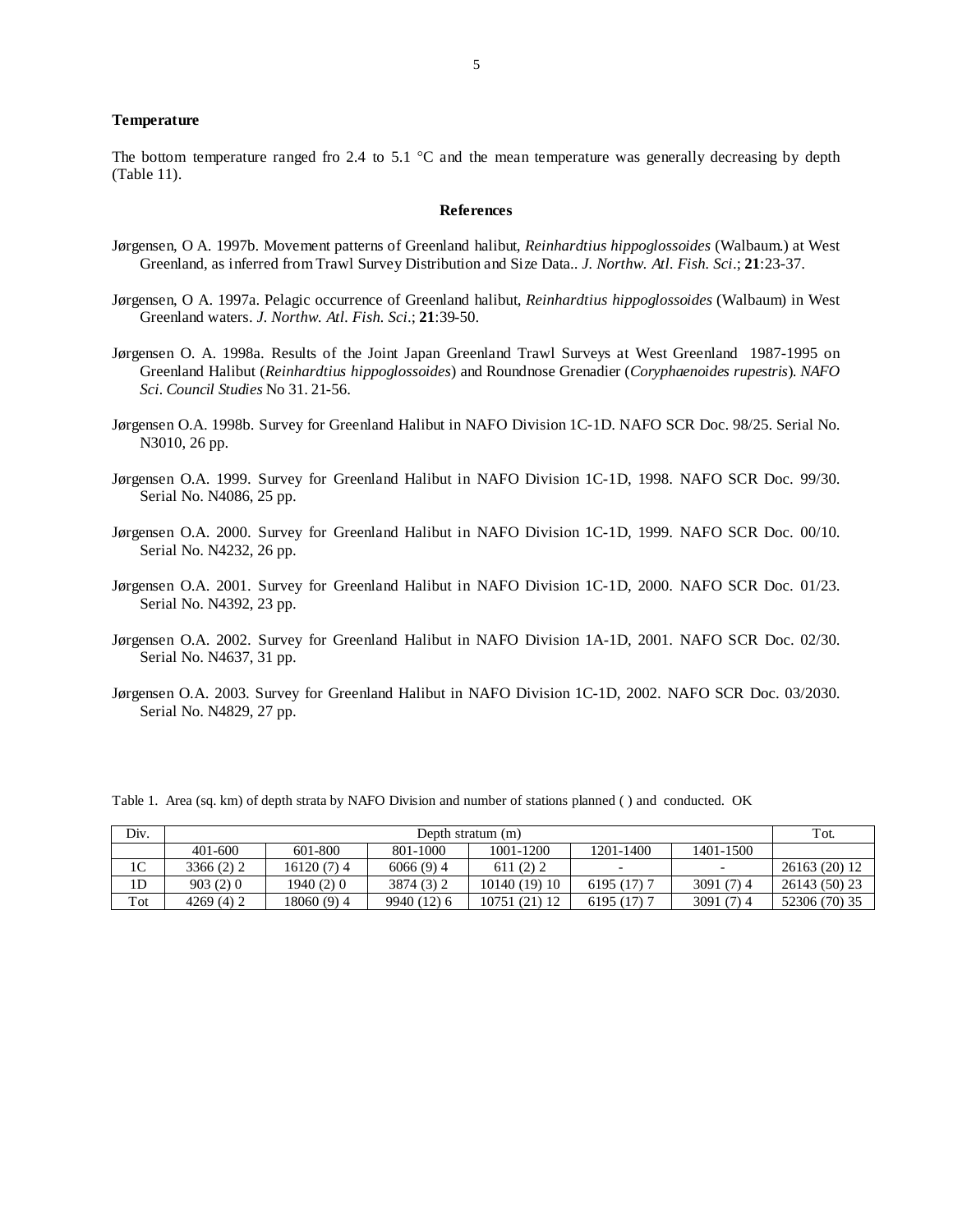#### **Temperature**

The bottom temperature ranged fro 2.4 to 5.1  $^{\circ}$ C and the mean temperature was generally decreasing by depth (Table 11).

#### **References**

- Jørgensen, O A. 1997b. Movement patterns of Greenland halibut, *Reinhardtius hippoglossoides* (Walbaum.) at West Greenland, as inferred from Trawl Survey Distribution and Size Data.. *J. Northw. Atl. Fish. Sci*.; **21**:23-37.
- Jørgensen, O A. 1997a. Pelagic occurrence of Greenland halibut, *Reinhardtius hippoglossoides* (Walbaum) in West Greenland waters. *J. Northw. Atl. Fish. Sci*.; **21**:39-50.
- Jørgensen O. A. 1998a. Results of the Joint Japan Greenland Trawl Surveys at West Greenland 1987-1995 on Greenland Halibut (*Reinhardtius hippoglossoides*) and Roundnose Grenadier (*Coryphaenoides rupestris*). *NAFO Sci. Council Studies* No 31. 21-56.
- Jørgensen O.A. 1998b. Survey for Greenland Halibut in NAFO Division 1C-1D. NAFO SCR Doc. 98/25. Serial No. N3010, 26 pp.
- Jørgensen O.A. 1999. Survey for Greenland Halibut in NAFO Division 1C-1D, 1998. NAFO SCR Doc. 99/30. Serial No. N4086, 25 pp.
- Jørgensen O.A. 2000. Survey for Greenland Halibut in NAFO Division 1C-1D, 1999. NAFO SCR Doc. 00/10. Serial No. N4232, 26 pp.
- Jørgensen O.A. 2001. Survey for Greenland Halibut in NAFO Division 1C-1D, 2000. NAFO SCR Doc. 01/23. Serial No. N4392, 23 pp.
- Jørgensen O.A. 2002. Survey for Greenland Halibut in NAFO Division 1A-1D, 2001. NAFO SCR Doc. 02/30. Serial No. N4637, 31 pp.
- Jørgensen O.A. 2003. Survey for Greenland Halibut in NAFO Division 1C-1D, 2002. NAFO SCR Doc. 03/2030. Serial No. N4829, 27 pp.

Table 1. Area (sq. km) of depth strata by NAFO Division and number of stations planned ( ) and conducted. OK

| Div.           | Depth stratum (m) |             |             |               |              |                          |               |  |  |  |
|----------------|-------------------|-------------|-------------|---------------|--------------|--------------------------|---------------|--|--|--|
|                | 401-600           | 601-800     | 801-1000    | 1001-1200     | 1201-1400    | 1401-1500                |               |  |  |  |
| 1 <sup>C</sup> | 3366 (2) 2        | 16120(7)4   | $6066(9)$ 4 | 611(2)2       |              | $\overline{\phantom{0}}$ | 26163 (20) 12 |  |  |  |
| 1D             | 903(2)0           | 1940 (2) 0  | 3874 (3) 2  | 10140 (19) 10 | $6195(17)$ 7 | 3091(7)4                 | 26143 (50) 23 |  |  |  |
| Tot            | 4269(4)2          | 18060 (9) 4 | 9940 (12) 6 | 10751 (21) 12 | $6195(17)$ 7 | 3091(7)4                 | 52306 (70) 35 |  |  |  |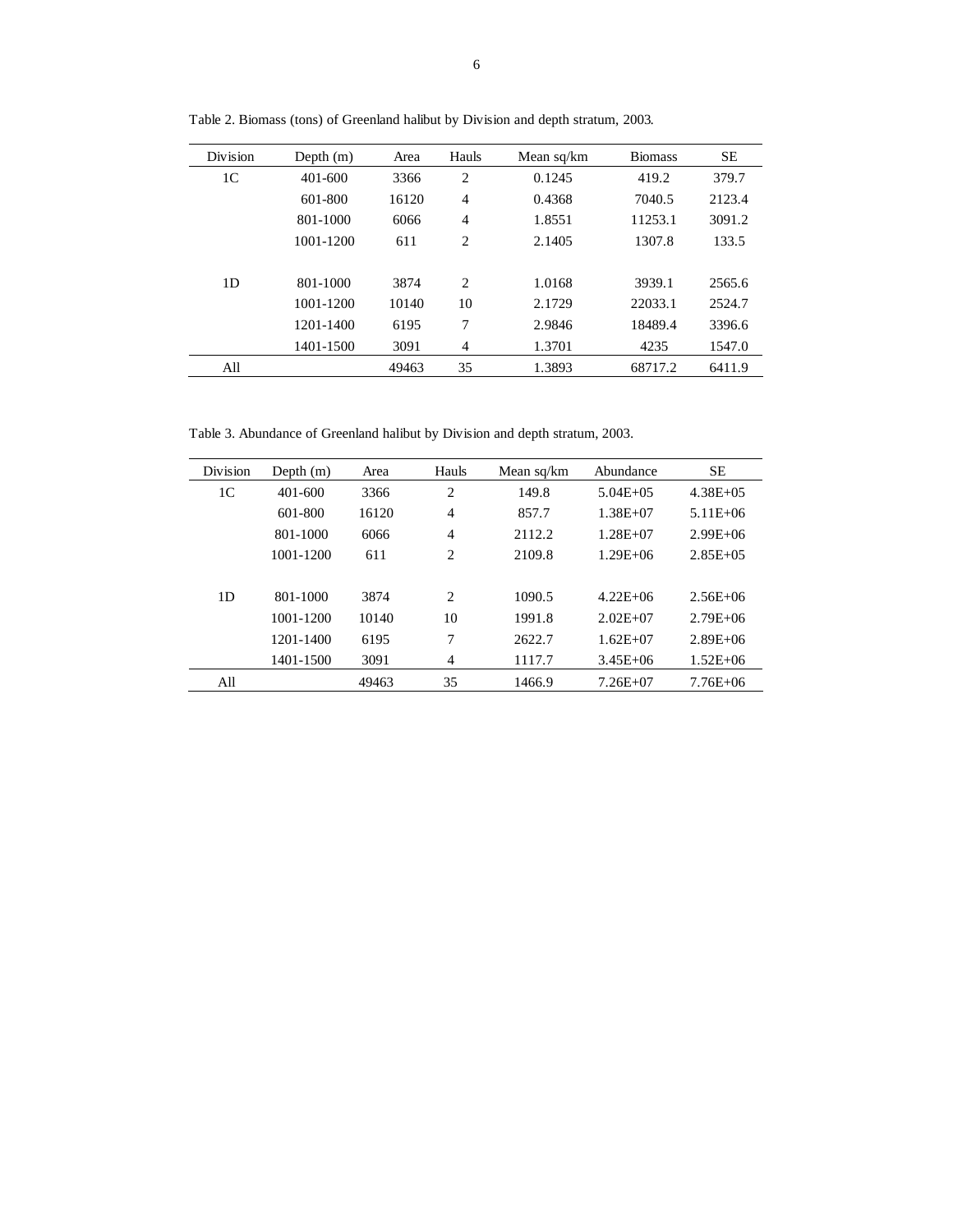| Division       | Depth $(m)$ | Area  | Hauls          | Mean sq/km | <b>Biomass</b> | <b>SE</b> |
|----------------|-------------|-------|----------------|------------|----------------|-----------|
| 1 <sup>C</sup> | $401 - 600$ | 3366  | 2              | 0.1245     | 419.2          | 379.7     |
|                | 601-800     | 16120 | $\overline{4}$ | 0.4368     | 7040.5         | 2123.4    |
|                | 801-1000    | 6066  | $\overline{4}$ | 1.8551     | 11253.1        | 3091.2    |
|                | 1001-1200   | 611   | 2              | 2.1405     | 1307.8         | 133.5     |
|                |             |       |                |            |                |           |
| 1D             | 801-1000    | 3874  | 2              | 1.0168     | 3939.1         | 2565.6    |
|                | 1001-1200   | 10140 | 10             | 2.1729     | 22033.1        | 2524.7    |
|                | 1201-1400   | 6195  | 7              | 2.9846     | 18489.4        | 3396.6    |
|                | 1401-1500   | 3091  | $\overline{4}$ | 1.3701     | 4235           | 1547.0    |
| All            |             | 49463 | 35             | 1.3893     | 68717.2        | 6411.9    |

Table 2. Biomass (tons) of Greenland halibut by Division and depth stratum, 2003.

Table 3. Abundance of Greenland halibut by Division and depth stratum, 2003.

| Division       | Depth $(m)$ | Area  | Hauls          | Mean sq/km | Abundance     | <b>SE</b>     |
|----------------|-------------|-------|----------------|------------|---------------|---------------|
| 1 <sup>C</sup> | $401 - 600$ | 3366  | 2              | 149.8      | $5.04E + 0.5$ | $4.38E + 0.5$ |
|                | 601-800     | 16120 | $\overline{4}$ | 857.7      | $1.38E + 07$  | $5.11E + 06$  |
|                | 801-1000    | 6066  | $\overline{4}$ | 2112.2     | $1.28E + 07$  | $2.99E + 06$  |
|                | 1001-1200   | 611   | 2              | 2109.8     | $1.29E + 06$  | $2.85E + 0.5$ |
|                |             |       |                |            |               |               |
| 1D             | 801-1000    | 3874  | 2              | 1090.5     | $4.22E + 06$  | $2.56E + 06$  |
|                | 1001-1200   | 10140 | 10             | 1991.8     | $2.02E + 07$  | $2.79E + 06$  |
|                | 1201-1400   | 6195  | 7              | 2622.7     | $1.62E + 07$  | $2.89E + 06$  |
|                | 1401-1500   | 3091  | $\overline{4}$ | 1117.7     | $3.45E + 06$  | $1.52E + 06$  |
| All            |             | 49463 | 35             | 1466.9     | $7.26E + 07$  | $7.76E + 06$  |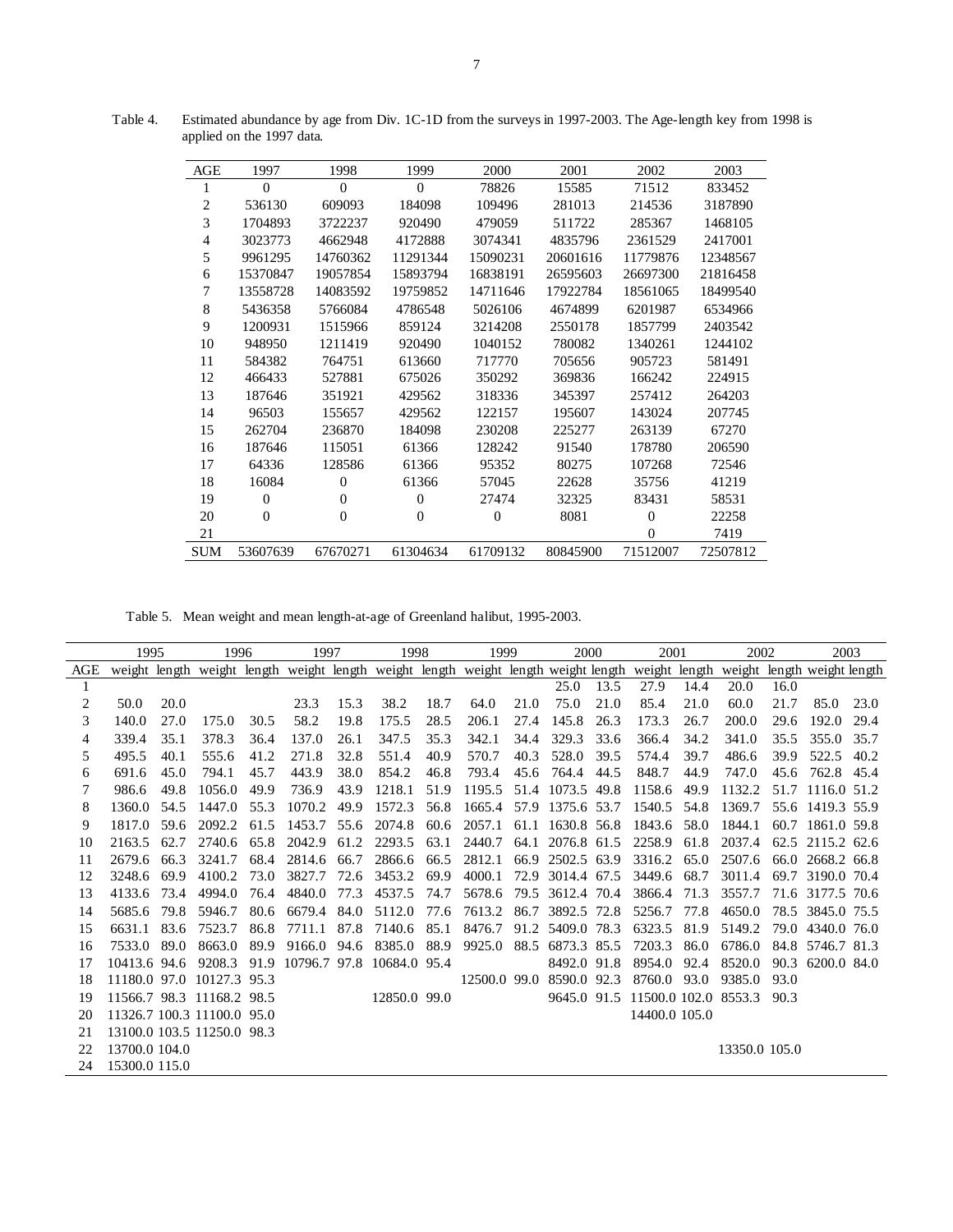| AGE | 1997     | 1998     | 1999         | 2000           | 2001     | 2002           | 2003     |
|-----|----------|----------|--------------|----------------|----------|----------------|----------|
| 1   | $\Omega$ | $\Omega$ | $\mathbf{0}$ | 78826          | 15585    | 71512          | 833452   |
| 2   | 536130   | 609093   | 184098       | 109496         | 281013   | 214536         | 3187890  |
| 3   | 1704893  | 3722237  | 920490       | 479059         | 511722   | 285367         | 1468105  |
| 4   | 3023773  | 4662948  | 4172888      | 3074341        | 4835796  | 2361529        | 2417001  |
| 5   | 9961295  | 14760362 | 11291344     | 15090231       | 20601616 | 11779876       | 12348567 |
| 6   | 15370847 | 19057854 | 15893794     | 16838191       | 26595603 | 26697300       | 21816458 |
| 7   | 13558728 | 14083592 | 19759852     | 14711646       | 17922784 | 18561065       | 18499540 |
| 8   | 5436358  | 5766084  | 4786548      | 5026106        | 4674899  | 6201987        | 6534966  |
| 9   | 1200931  | 1515966  | 859124       | 3214208        | 2550178  | 1857799        | 2403542  |
| 10  | 948950   | 1211419  | 920490       | 1040152        | 780082   | 1340261        | 1244102  |
| 11  | 584382   | 764751   | 613660       | 717770         | 705656   | 905723         | 581491   |
| 12  | 466433   | 527881   | 675026       | 350292         | 369836   | 166242         | 224915   |
| 13  | 187646   | 351921   | 429562       | 318336         | 345397   | 257412         | 264203   |
| 14  | 96503    | 155657   | 429562       | 122157         | 195607   | 143024         | 207745   |
| 15  | 262704   | 236870   | 184098       | 230208         | 225277   | 263139         | 67270    |
| 16  | 187646   | 115051   | 61366        | 128242         | 91540    | 178780         | 206590   |
| 17  | 64336    | 128586   | 61366        | 95352          | 80275    | 107268         | 72546    |
| 18  | 16084    | $\Omega$ | 61366        | 57045          | 22628    | 35756          | 41219    |
| 19  | $\Omega$ | $\Omega$ | $\mathbf{0}$ | 27474          | 32325    | 83431          | 58531    |
| 20  | $\Omega$ | $\Omega$ | $\Omega$     | $\overline{0}$ | 8081     | $\overline{0}$ | 22258    |
| 21  |          |          |              |                |          | $\theta$       | 7419     |
| SUM | 53607639 | 67670271 | 61304634     | 61709132       | 80845900 | 71512007       | 72507812 |

Table 4. Estimated abundance by age from Div. 1C-1D from the surveys in 1997-2003. The Age-length key from 1998 is applied on the 1997 data.

Table 5. Mean weight and mean length-at-age of Greenland halibut, 1995-2003.

|     | 1995          |      | 1996                                                                                                                                        |      | 1997   |      | 1998                      |      | 1999         |      | 2000             |      | 2001                 |      | 2002          |      |                  | 2003 |
|-----|---------------|------|---------------------------------------------------------------------------------------------------------------------------------------------|------|--------|------|---------------------------|------|--------------|------|------------------|------|----------------------|------|---------------|------|------------------|------|
| AGE |               |      | weight length weight length weight length weight length weight length weight length weight length weight length weight length weight length |      |        |      |                           |      |              |      |                  |      |                      |      |               |      |                  |      |
| 1   |               |      |                                                                                                                                             |      |        |      |                           |      |              |      | 25.0             | 13.5 | 27.9                 | 14.4 | 20.0          | 16.0 |                  |      |
| 2   | 50.0          | 20.0 |                                                                                                                                             |      | 23.3   | 15.3 | 38.2                      | 18.7 | 64.0         | 21.0 | 75.0             | 21.0 | 85.4                 | 21.0 | 60.0          | 21.7 | 85.0             | 23.0 |
| 3   | 140.0         | 27.0 | 175.0                                                                                                                                       | 30.5 | 58.2   | 19.8 | 175.5                     | 28.5 | 206.1        | 27.4 | 145.8            | 26.3 | 173.3                | 26.7 | 200.0         | 29.6 | 192.0            | 29.4 |
| 4   | 339.4         | 35.1 | 378.3                                                                                                                                       | 36.4 | 137.0  | 26.1 | 347.5                     | 35.3 | 342.1        | 34.4 | 329.3            | 33.6 | 366.4                | 34.2 | 341.0         | 35.5 | 355.0            | 35.7 |
| 5   | 495.5         | 40.1 | 555.6                                                                                                                                       | 41.2 | 271.8  | 32.8 | 551.4                     | 40.9 | 570.7        | 40.3 | 528.0            | 39.5 | 574.4                | 39.7 | 486.6         | 39.9 | 522.5            | 40.2 |
| 6   | 691.6         | 45.0 | 794.1                                                                                                                                       | 45.7 | 443.9  | 38.0 | 854.2                     | 46.8 | 793.4        | 45.6 | 764.4            | 44.5 | 848.7                | 44.9 | 747.0         | 45.6 | 762.8 45.4       |      |
| 7   | 986.6         | 49.8 | 1056.0                                                                                                                                      | 49.9 | 736.9  | 43.9 | 1218.1                    | 51.9 | 1195.5       |      | 51.4 1073.5      | 49.8 | 1158.6               | 49.9 | 1132.2        | 51.7 | 1116.0 51.2      |      |
| 8   | 1360.0        | 54.5 | 1447.0                                                                                                                                      | 55.3 | 1070.2 | 49.9 | 1572.3                    | 56.8 | 1665.4       | 57.9 | 1375.6 53.7      |      | 1540.5               | 54.8 | 1369.7        |      | 55.6 1419.3 55.9 |      |
| 9   | 1817.0        | 59.6 | 2092.2                                                                                                                                      | 61.5 | 1453.7 | 55.6 | 2074.8                    | 60.6 | 2057.1       | 61.1 | 1630.8 56.8      |      | 1843.6               | 58.0 | 1844.1        | 60.7 | 1861.0 59.8      |      |
| 10  | 2163.5        | 62.7 | 2740.6                                                                                                                                      | 65.8 | 2042.9 | 61.2 | 2293.5                    | 63.1 | 2440.7       | 64.1 | 2076.8 61.5      |      | 2258.9               | 61.8 | 2037.4        | 62.5 | 2115.2 62.6      |      |
| 11  | 2679.6        | 66.3 | 3241.7                                                                                                                                      | 68.4 | 2814.6 | 66.7 | 2866.6                    | 66.5 | 2812.1       |      | 66.9 2502.5 63.9 |      | 3316.2               | 65.0 | 2507.6        | 66.0 | 2668.2 66.8      |      |
| 12  | 3248.6        | 69.9 | 4100.2                                                                                                                                      | 73.0 | 3827.7 | 72.6 | 3453.2                    | 69.9 | 4000.1       |      | 72.9 3014.4 67.5 |      | 3449.6               | 68.7 | 3011.4        | 69.7 | 3190.0 70.4      |      |
| 13  | 4133.6        | 73.4 | 4994.0                                                                                                                                      | 76.4 | 4840.0 | 77.3 | 4537.5                    | 74.7 | 5678.6       |      | 79.5 3612.4 70.4 |      | 3866.4               | 71.3 | 3557.7        |      | 71.6 3177.5 70.6 |      |
| 14  | 5685.6        | 79.8 | 5946.7                                                                                                                                      | 80.6 | 6679.4 | 84.0 | 5112.0                    | 77.6 | 7613.2       | 86.7 | 3892.5 72.8      |      | 5256.7               | 77.8 | 4650.0        |      | 78.5 3845.0 75.5 |      |
| 15  | 6631.1        | 83.6 | 7523.7                                                                                                                                      | 86.8 | 7711.1 | 87.8 | 7140.6                    | 85.1 | 8476.7       |      | 91.2 5409.0 78.3 |      | 6323.5               | 81.9 | 5149.2        | 79.0 | 4340.0 76.0      |      |
| 16  | 7533.0        | 89.0 | 8663.0                                                                                                                                      | 89.9 | 9166.0 | 94.6 | 8385.0                    | 88.9 | 9925.0       | 88.5 | 6873.3 85.5      |      | 7203.3               | 86.0 | 6786.0        |      | 84.8 5746.7 81.3 |      |
| 17  | 10413.6 94.6  |      | 9208.3                                                                                                                                      | 91.9 |        |      | 10796.7 97.8 10684.0 95.4 |      |              |      | 8492.0 91.8      |      | 8954.0               | 92.4 | 8520.0        | 90.3 | 6200.0 84.0      |      |
| 18  |               |      | 11180.0 97.0 10127.3 95.3                                                                                                                   |      |        |      |                           |      | 12500.0 99.0 |      | 8590.0 92.3      |      | 8760.0               | 93.0 | 9385.0        | 93.0 |                  |      |
| 19  |               |      | 11566.7 98.3 11168.2 98.5                                                                                                                   |      |        |      | 12850.0 99.0              |      |              |      | 9645.0 91.5      |      | 11500.0 102.0 8553.3 |      |               | 90.3 |                  |      |
| 20  |               |      | 11326.7 100.3 11100.0 95.0                                                                                                                  |      |        |      |                           |      |              |      |                  |      | 14400.0 105.0        |      |               |      |                  |      |
| 21  |               |      | 13100.0 103.5 11250.0 98.3                                                                                                                  |      |        |      |                           |      |              |      |                  |      |                      |      |               |      |                  |      |
| 22  | 13700.0 104.0 |      |                                                                                                                                             |      |        |      |                           |      |              |      |                  |      |                      |      | 13350.0 105.0 |      |                  |      |
| 24  | 15300.0 115.0 |      |                                                                                                                                             |      |        |      |                           |      |              |      |                  |      |                      |      |               |      |                  |      |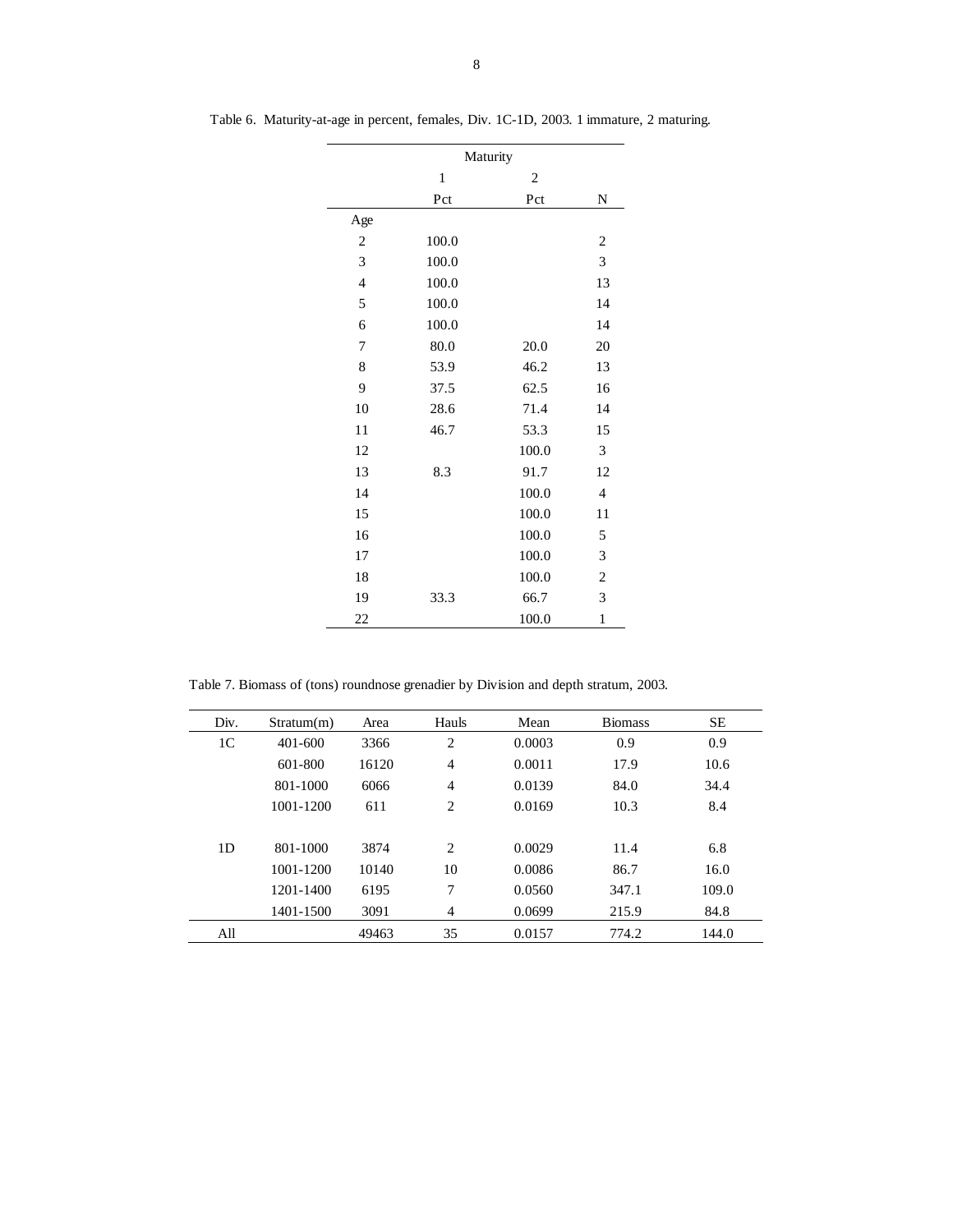|                | Maturity     |                         |                |  |  |  |  |  |  |  |
|----------------|--------------|-------------------------|----------------|--|--|--|--|--|--|--|
|                | $\mathbf{1}$ | $\overline{\mathbf{c}}$ |                |  |  |  |  |  |  |  |
|                | Pct          | Pct                     | N              |  |  |  |  |  |  |  |
| Age            |              |                         |                |  |  |  |  |  |  |  |
| $\sqrt{2}$     | 100.0        |                         | $\overline{2}$ |  |  |  |  |  |  |  |
| 3              | 100.0        |                         | 3              |  |  |  |  |  |  |  |
| $\overline{4}$ | 100.0        |                         | 13             |  |  |  |  |  |  |  |
| 5              | 100.0        |                         | 14             |  |  |  |  |  |  |  |
| 6              | 100.0        |                         | 14             |  |  |  |  |  |  |  |
| 7              | 80.0         | 20.0                    | 20             |  |  |  |  |  |  |  |
| 8              | 53.9         | 46.2                    | 13             |  |  |  |  |  |  |  |
| 9              | 37.5         | 62.5                    | 16             |  |  |  |  |  |  |  |
| 10             | 28.6         | 71.4                    | 14             |  |  |  |  |  |  |  |
| 11             | 46.7         | 53.3                    | 15             |  |  |  |  |  |  |  |
| 12             |              | 100.0                   | 3              |  |  |  |  |  |  |  |
| 13             | 8.3          | 91.7                    | 12             |  |  |  |  |  |  |  |
| 14             |              | 100.0                   | $\overline{4}$ |  |  |  |  |  |  |  |
| 15             |              | 100.0                   | 11             |  |  |  |  |  |  |  |
| 16             |              | 100.0                   | 5              |  |  |  |  |  |  |  |
| 17             |              | 100.0                   | 3              |  |  |  |  |  |  |  |
| 18             |              | 100.0                   | $\overline{c}$ |  |  |  |  |  |  |  |
| 19             | 33.3         | 66.7                    | 3              |  |  |  |  |  |  |  |
| 22             |              | 100.0                   | $\mathbf{1}$   |  |  |  |  |  |  |  |

Table 6. Maturity-at-age in percent, females, Div. 1C-1D, 2003. 1 immature, 2 maturing.

Table 7. Biomass of (tons) roundnose grenadier by Division and depth stratum, 2003.

| Div.           | Stratum(m)  | Area  | Hauls          | Mean   | <b>Biomass</b> | <b>SE</b> |
|----------------|-------------|-------|----------------|--------|----------------|-----------|
| 1 <sup>C</sup> | $401 - 600$ | 3366  | 2              | 0.0003 | 0.9            | 0.9       |
|                | 601-800     | 16120 | $\overline{4}$ | 0.0011 | 17.9           | 10.6      |
|                | 801-1000    | 6066  | $\overline{4}$ | 0.0139 | 84.0           | 34.4      |
|                | 1001-1200   | 611   | 2              | 0.0169 | 10.3           | 8.4       |
|                |             |       |                |        |                |           |
| 1 <sub>D</sub> | 801-1000    | 3874  | 2              | 0.0029 | 11.4           | 6.8       |
|                | 1001-1200   | 10140 | 10             | 0.0086 | 86.7           | 16.0      |
|                | 1201-1400   | 6195  | 7              | 0.0560 | 347.1          | 109.0     |
|                | 1401-1500   | 3091  | 4              | 0.0699 | 215.9          | 84.8      |
| All            |             | 49463 | 35             | 0.0157 | 774.2          | 144.0     |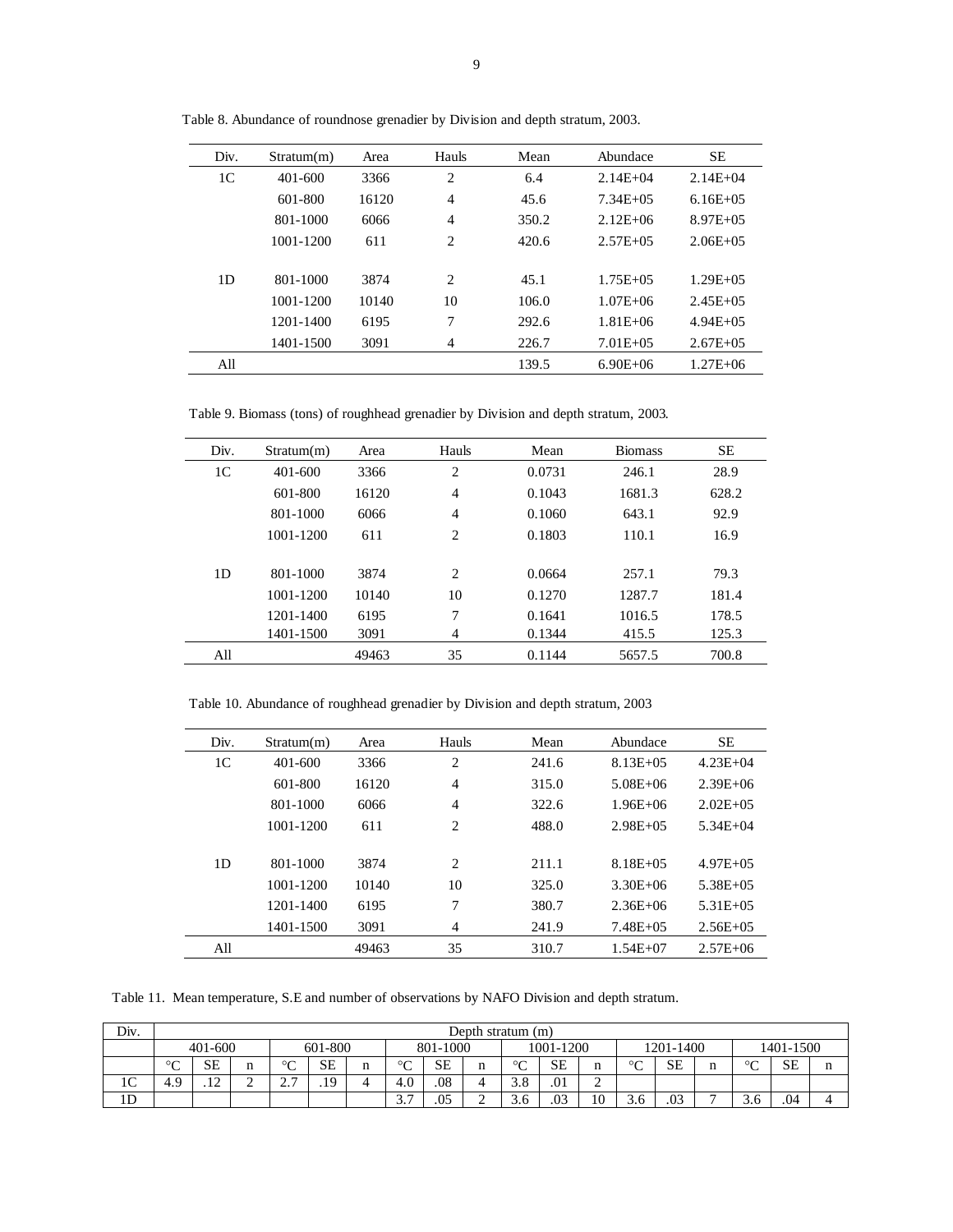| Div.           | Stratum(m) | Area  | Hauls | Mean  | Abundace      | <b>SE</b>     |
|----------------|------------|-------|-------|-------|---------------|---------------|
| 1 <sup>C</sup> | 401-600    | 3366  | 2     | 6.4   | $2.14E + 04$  | $2.14E + 04$  |
|                | 601-800    | 16120 | 4     | 45.6  | $7.34E + 0.5$ | $6.16E + 0.5$ |
|                | 801-1000   | 6066  | 4     | 350.2 | $2.12E + 06$  | $8.97E + 0.5$ |
|                | 1001-1200  | 611   | 2     | 420.6 | $2.57E + 0.5$ | $2.06E + 0.5$ |
|                |            |       |       |       |               |               |
| 1D             | 801-1000   | 3874  | 2     | 45.1  | $1.75E + 0.5$ | $1.29E + 0.5$ |
|                | 1001-1200  | 10140 | 10    | 106.0 | $1.07E + 06$  | $2.45E + 0.5$ |
|                | 1201-1400  | 6195  | 7     | 292.6 | $1.81E + 06$  | $4.94E + 0.5$ |
|                | 1401-1500  | 3091  | 4     | 226.7 | $7.01E + 05$  | $2.67E + 0.5$ |
| All            |            |       |       | 139.5 | $6.90E + 06$  | $1.27E + 06$  |

Table 8. Abundance of roundnose grenadier by Division and depth stratum, 2003.

Table 9. Biomass (tons) of roughhead grenadier by Division and depth stratum, 2003.

| Div. | Stratum(m)  | Area  | Hauls          | Mean   | <b>Biomass</b> | <b>SE</b> |
|------|-------------|-------|----------------|--------|----------------|-----------|
| 1C   | $401 - 600$ | 3366  | 2              | 0.0731 | 246.1          | 28.9      |
|      | 601-800     | 16120 | 4              | 0.1043 | 1681.3         | 628.2     |
|      | 801-1000    | 6066  | $\overline{4}$ | 0.1060 | 643.1          | 92.9      |
|      | 1001-1200   | 611   | $\overline{c}$ | 0.1803 | 110.1          | 16.9      |
|      |             |       |                |        |                |           |
| 1D   | 801-1000    | 3874  | 2              | 0.0664 | 257.1          | 79.3      |
|      | 1001-1200   | 10140 | 10             | 0.1270 | 1287.7         | 181.4     |
|      | 1201-1400   | 6195  | 7              | 0.1641 | 1016.5         | 178.5     |
|      | 1401-1500   | 3091  | 4              | 0.1344 | 415.5          | 125.3     |
| All  |             | 49463 | 35             | 0.1144 | 5657.5         | 700.8     |

Table 10. Abundance of roughhead grenadier by Division and depth stratum, 2003

| Div.           | Stratum(m) | Area  | Hauls          | Mean  | Abundace      | SE            |
|----------------|------------|-------|----------------|-------|---------------|---------------|
| 1 <sup>C</sup> | 401-600    | 3366  | $\overline{c}$ | 241.6 | $8.13E + 0.5$ | $4.23E + 04$  |
|                | 601-800    | 16120 | $\overline{4}$ | 315.0 | $5.08E + 06$  | $2.39E + 06$  |
|                | 801-1000   | 6066  | $\overline{4}$ | 322.6 | $1.96E + 06$  | $2.02E + 0.5$ |
|                | 1001-1200  | 611   | $\overline{c}$ | 488.0 | $2.98E + 0.5$ | $5.34E + 04$  |
|                |            |       |                |       |               |               |
| 1D             | 801-1000   | 3874  | 2              | 211.1 | $8.18E + 0.5$ | $4.97E + 0.5$ |
|                | 1001-1200  | 10140 | 10             | 325.0 | $3.30E + 06$  | $5.38E + 0.5$ |
|                | 1201-1400  | 6195  | 7              | 380.7 | $2.36E + 06$  | $5.31E + 0.5$ |
|                | 1401-1500  | 3091  | 4              | 241.9 | $7.48E + 0.5$ | $2.56E + 05$  |
| All            |            | 49463 | 35             | 310.7 | $1.54E + 07$  | $2.57E + 06$  |

Table 11. Mean temperature, S.E and number of observations by NAFO Division and depth stratum.

| Div.           | Depth stratum (m)              |                            |  |                        |           |   |                                     |           |   |             |           |             |             |           |   |             |     |  |
|----------------|--------------------------------|----------------------------|--|------------------------|-----------|---|-------------------------------------|-----------|---|-------------|-----------|-------------|-------------|-----------|---|-------------|-----|--|
|                | 601-800<br>401-600<br>801-1000 |                            |  |                        |           |   |                                     | 1001-1200 |   |             | 1201-1400 |             |             | 1401-1500 |   |             |     |  |
|                | $\circ$<br>◡                   | <b>SE</b>                  |  | $\sim$<br>◡            | <b>SE</b> | n | $\circ$<br>◡                        | <b>SE</b> |   | $\sim$<br>◡ | SE        | n           | $\sim$<br>◡ | <b>SE</b> | n | $\sim$<br>◡ | SЕ  |  |
| $\sim$<br>IC   | 4.9                            | $\sim$<br>$\cdot$ . $\sim$ |  | $\sim$ $\sim$<br>، ، ، | .19       |   | 4.0                                 | .08       |   | 3.8         | .01       | $\sim$<br>∼ |             |           |   |             |     |  |
| 1 <sub>D</sub> |                                |                            |  |                        |           |   | $\gamma$ $\tau$<br>$\mathfrak{I}$ . | .05       | - | 3.6         | .03       | 10          |             | .03       |   |             | .04 |  |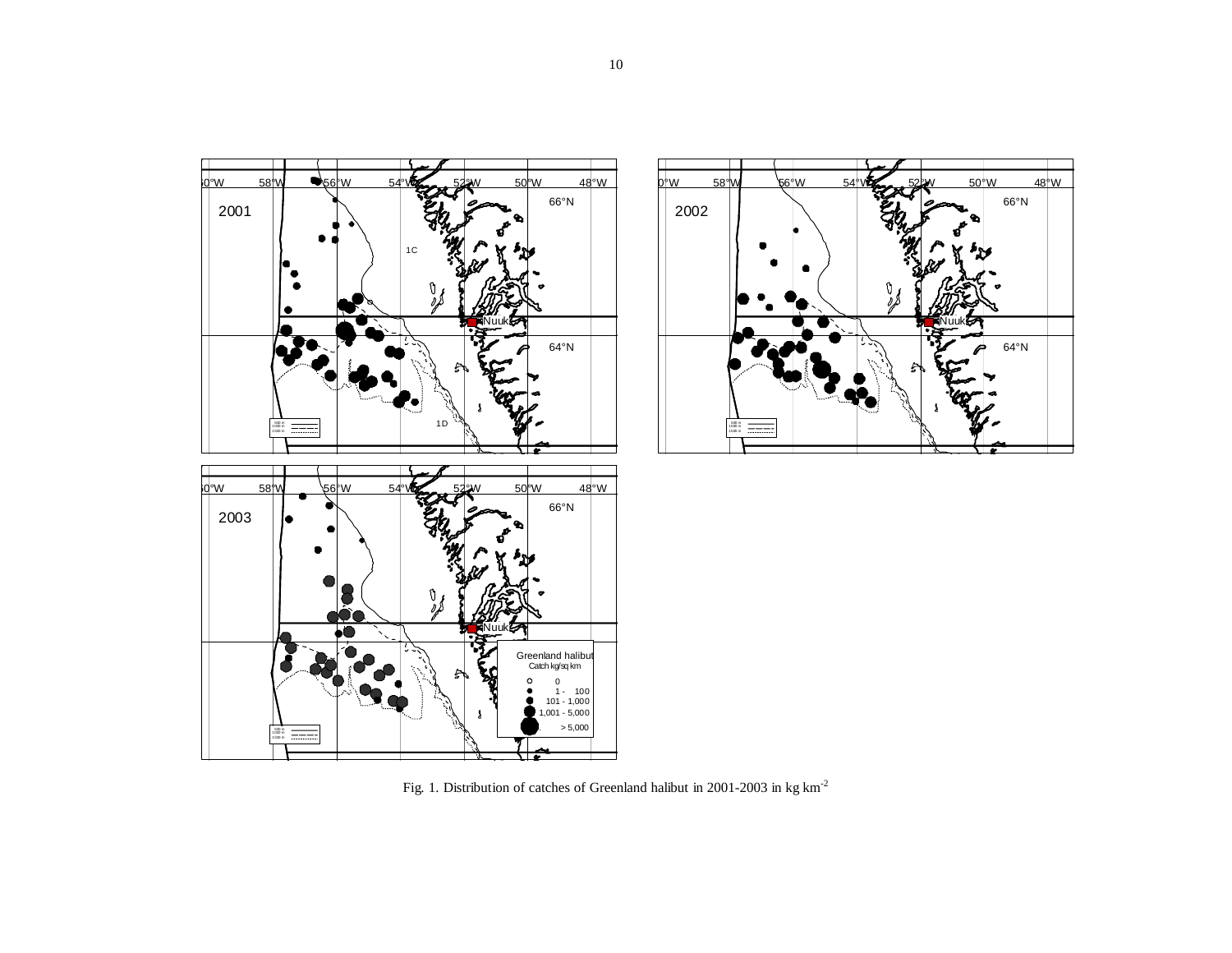



Fig. 1. Distribution of catches of Greenland halibut in 2001-2003 in kg  $\mathrm{km}^{\text{-}2}$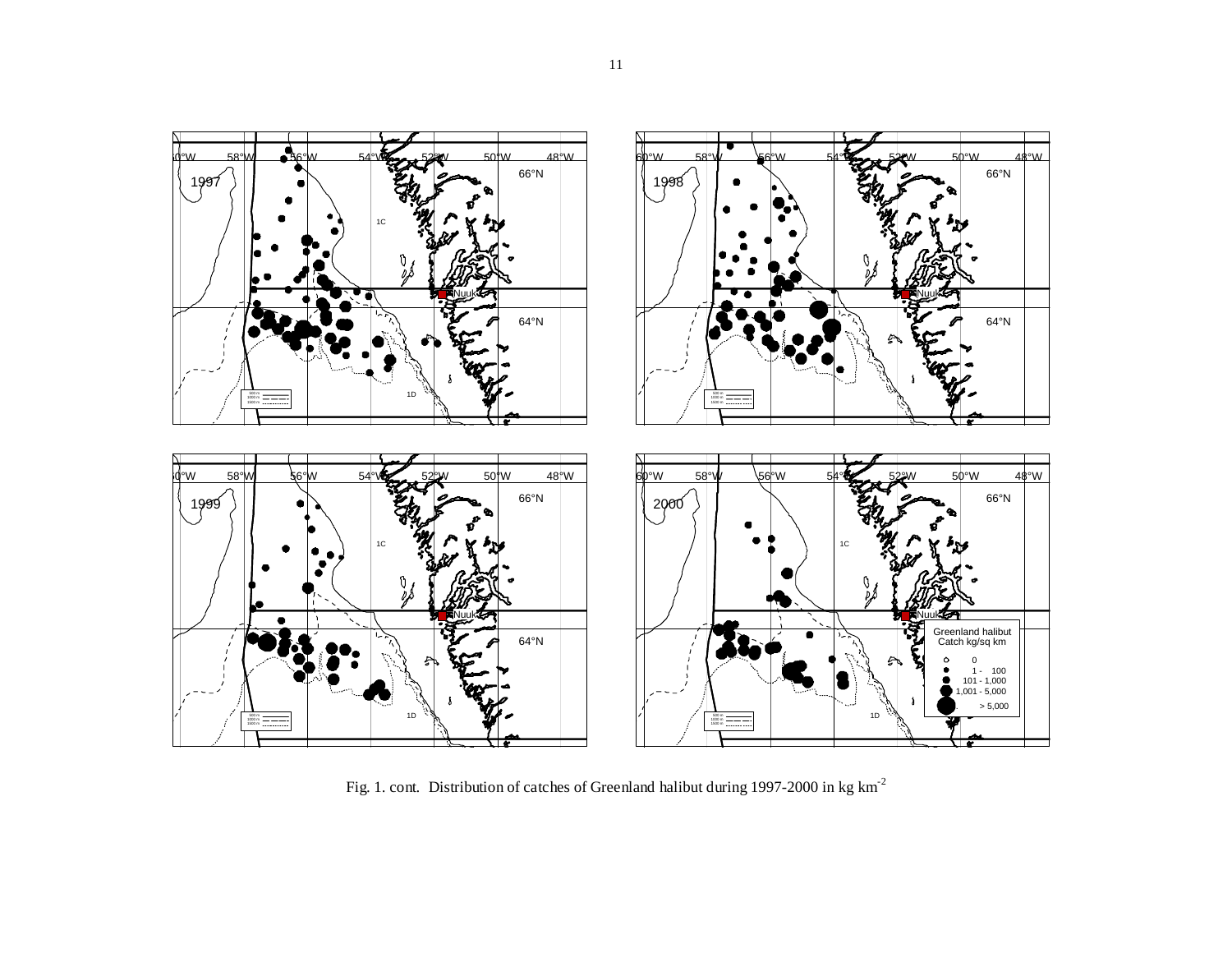

Fig. 1. cont. Distribution of catches of Greenland halibut during 1997-2000 in kg km-<sup>2</sup>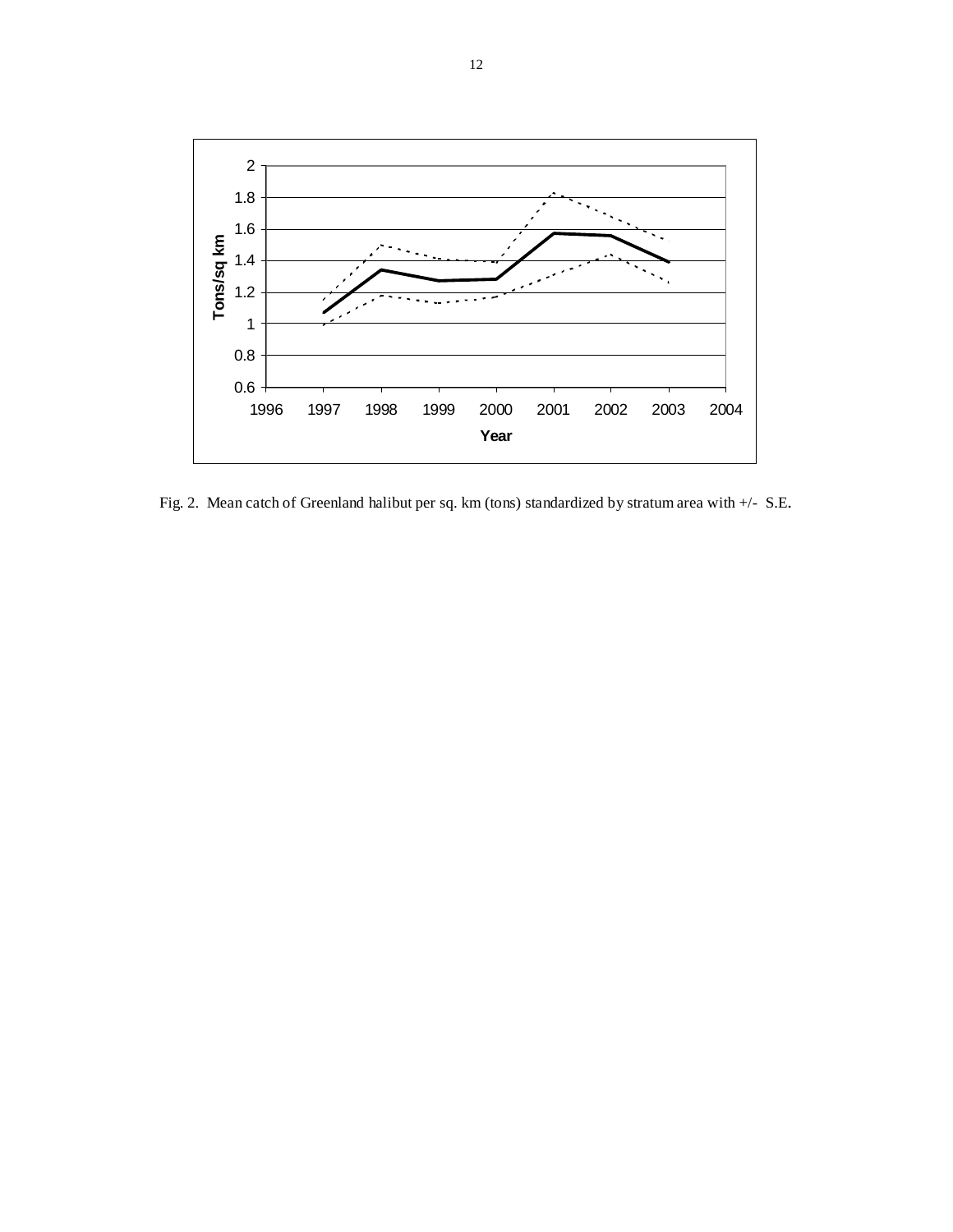

Fig. 2. Mean catch of Greenland halibut per sq. km (tons) standardized by stratum area with +/- S.E.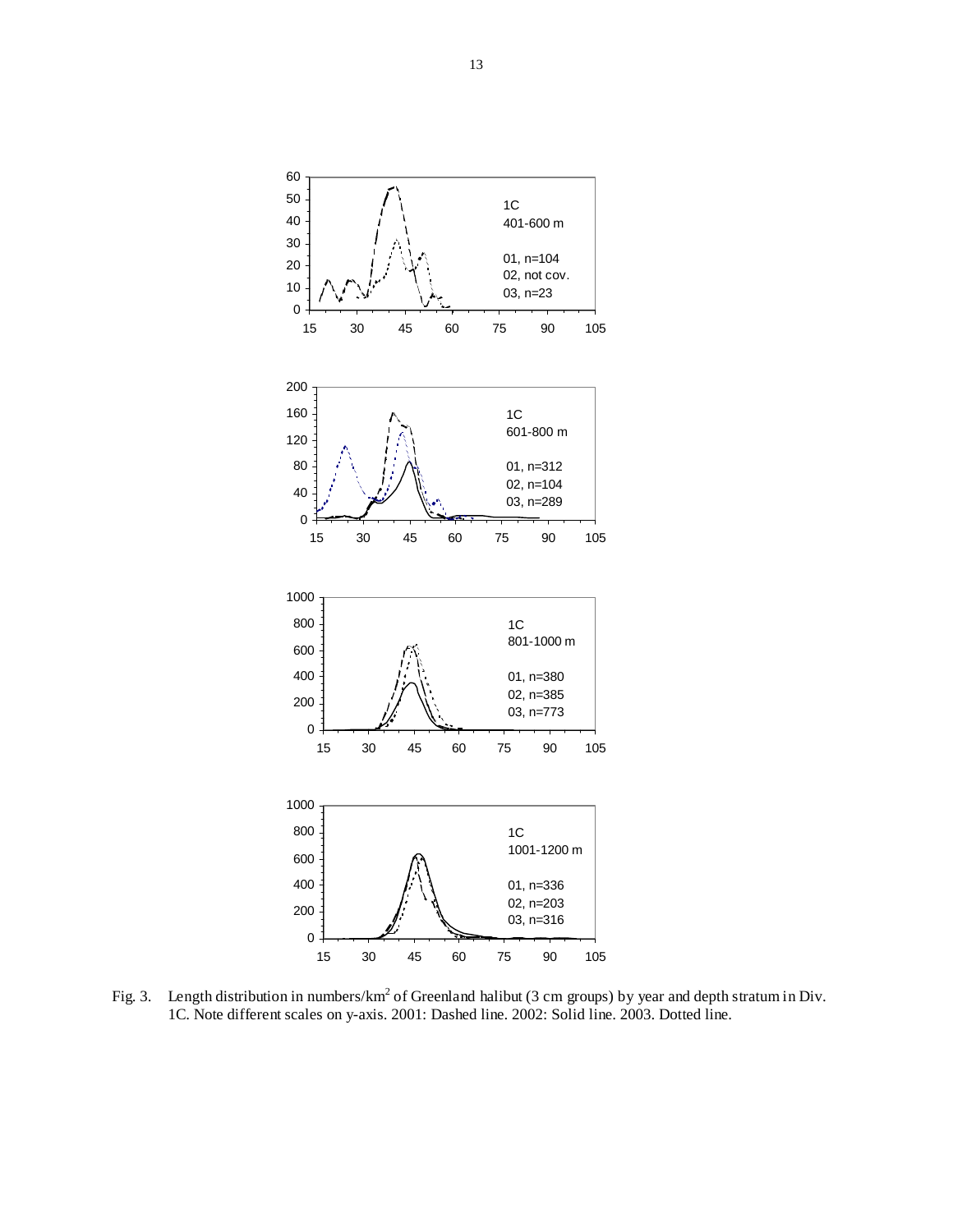

Fig. 3. Length distribution in numbers/km<sup>2</sup> of Greenland halibut (3 cm groups) by year and depth stratum in Div. 1C. Note different scales on y-axis. 2001: Dashed line. 2002: Solid line. 2003. Dotted line.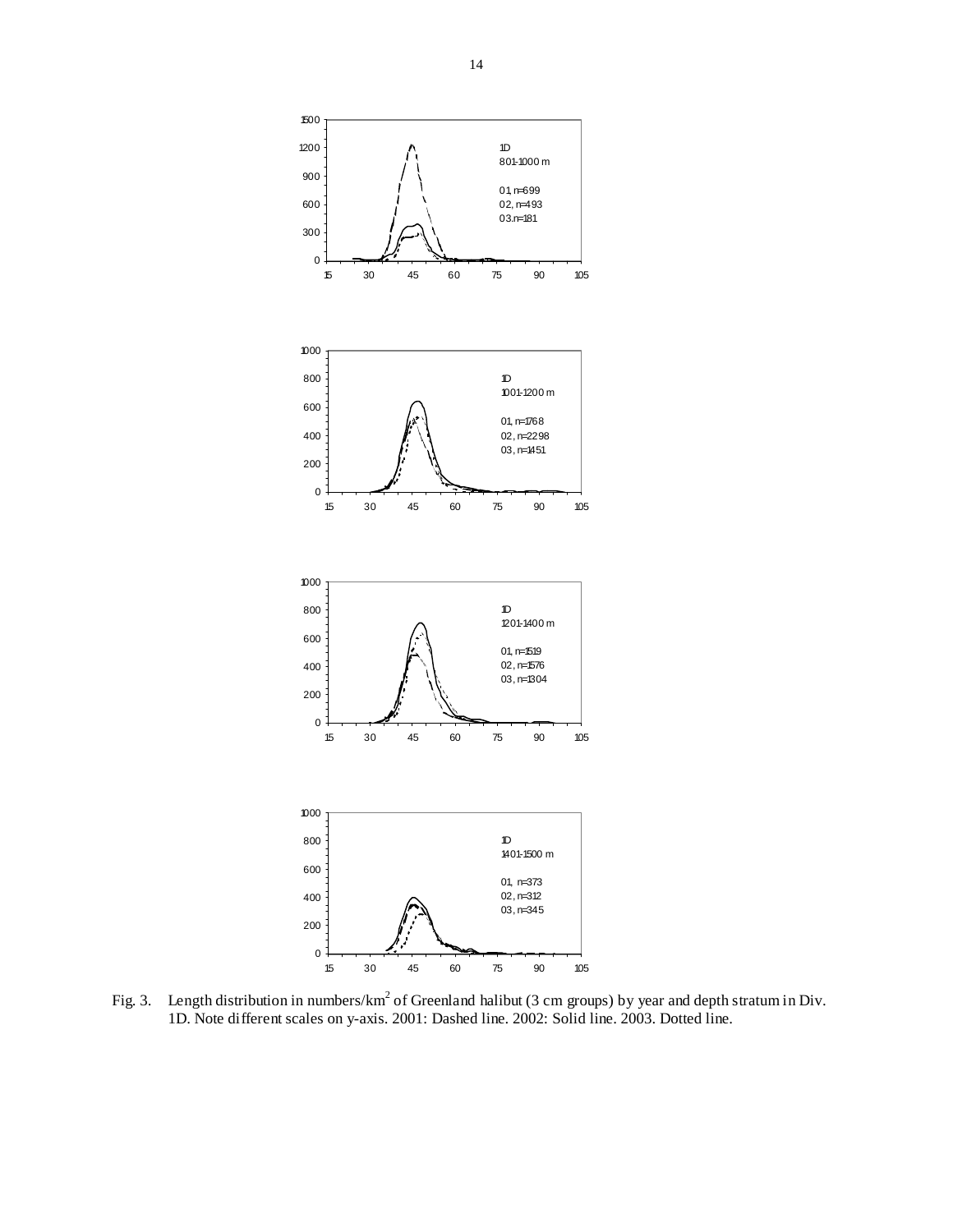

Fig. 3. Length distribution in numbers/km<sup>2</sup> of Greenland halibut (3 cm groups) by year and depth stratum in Div. 1D. Note different scales on y-axis. 2001: Dashed line. 2002: Solid line. 2003. Dotted line.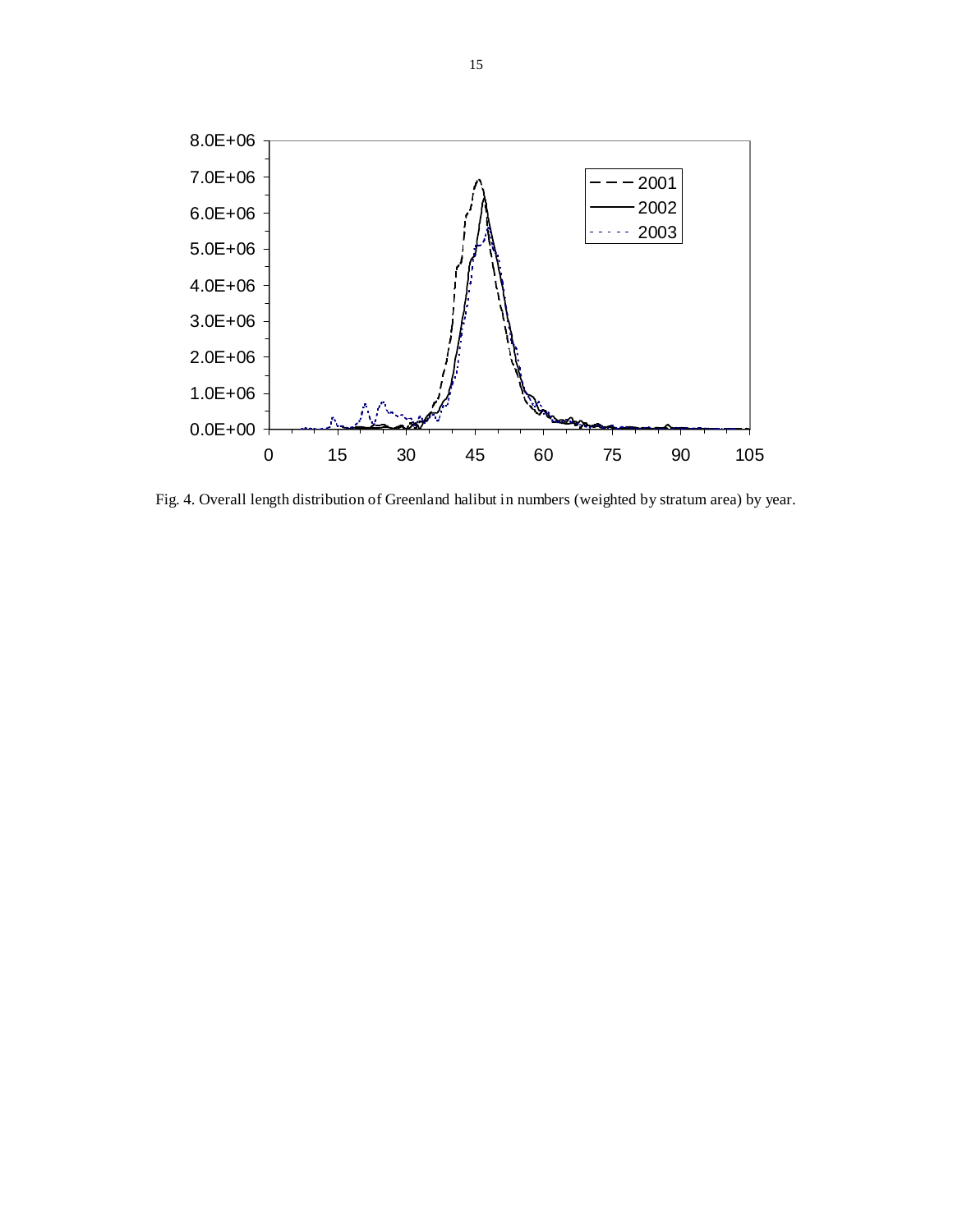

Fig. 4. Overall length distribution of Greenland halibut in numbers (weighted by stratum area) by year.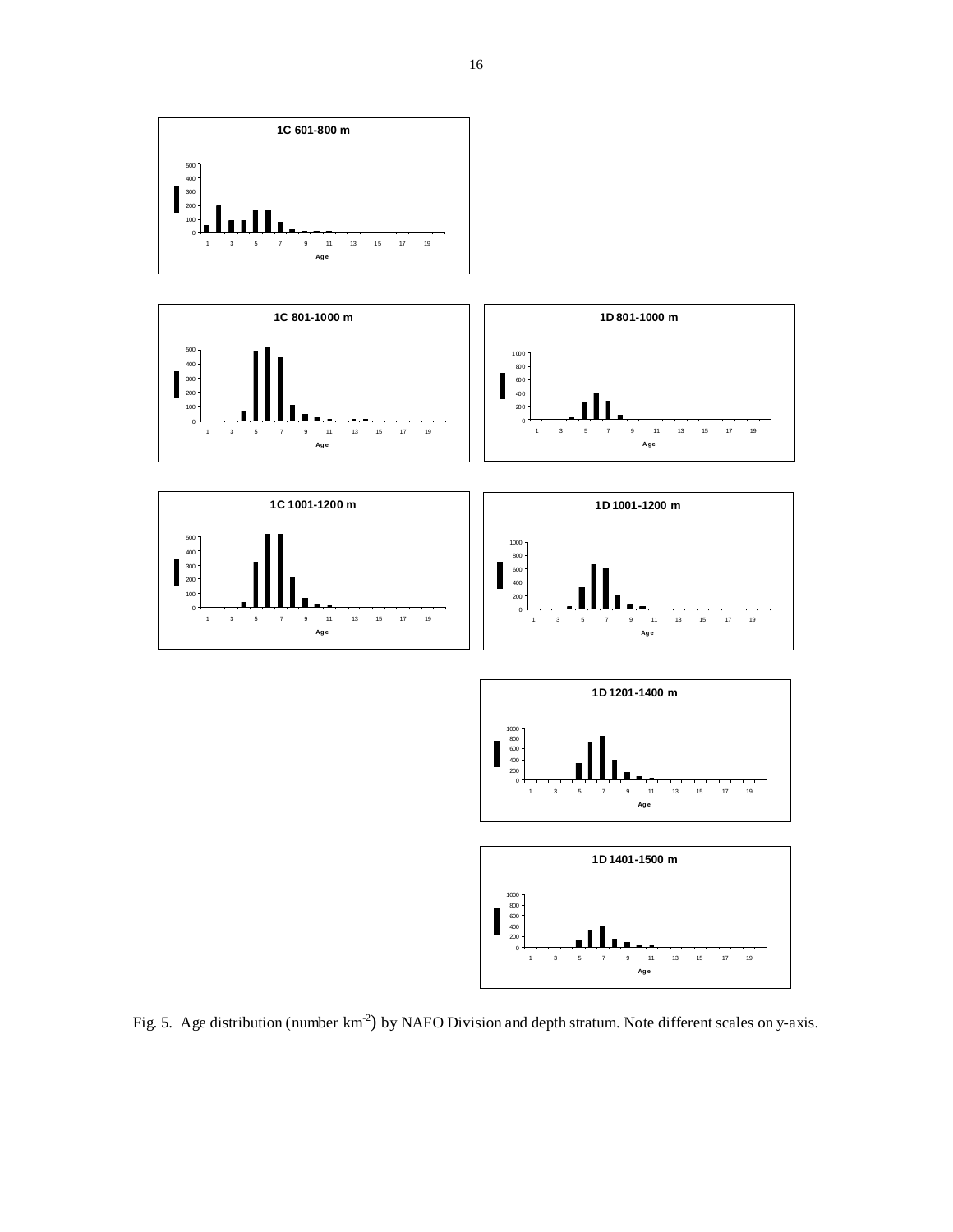

Fig. 5. Age distribution (number km<sup>-2</sup>) by NAFO Division and depth stratum. Note different scales on y-axis.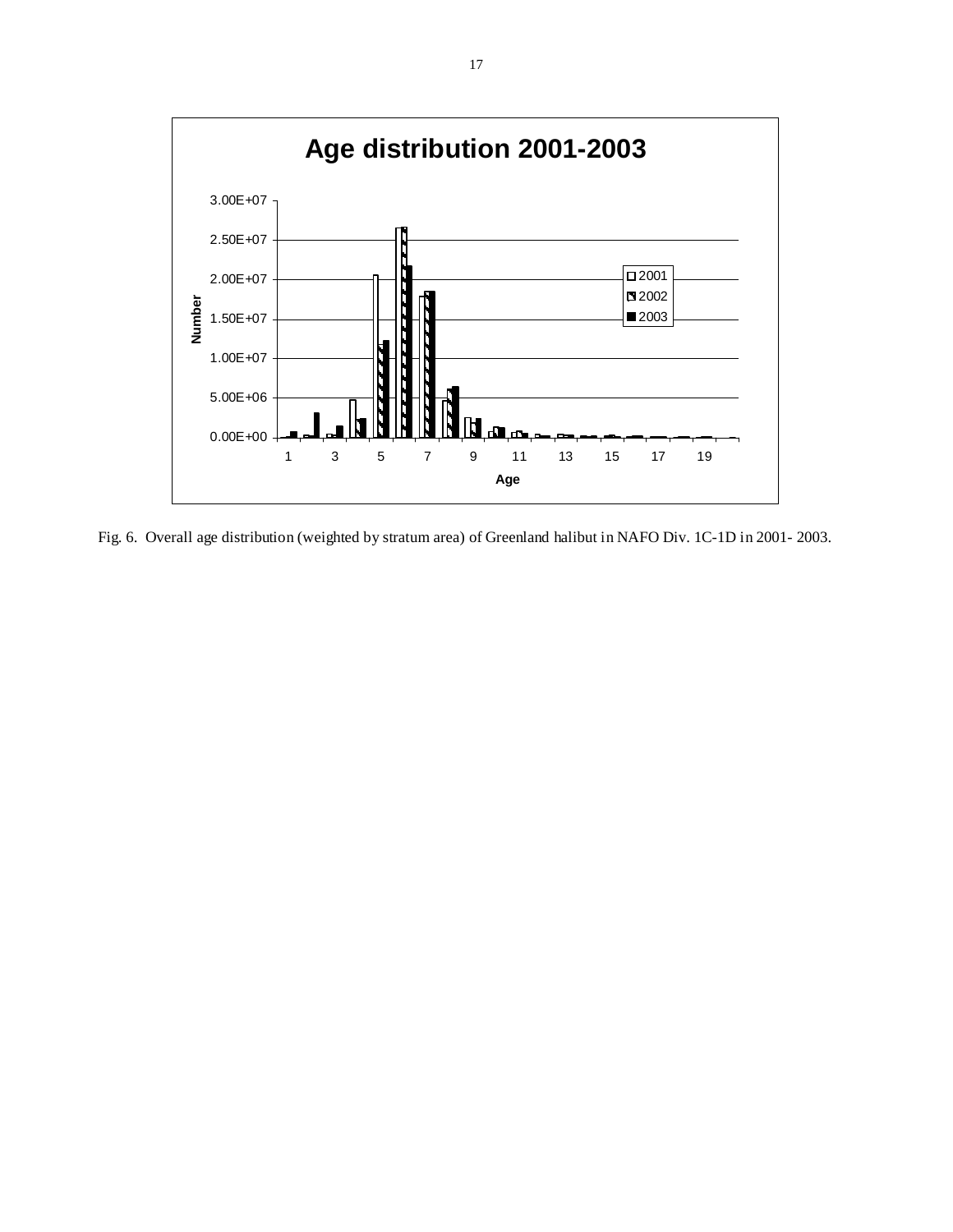

Fig. 6. Overall age distribution (weighted by stratum area) of Greenland halibut in NAFO Div. 1C-1D in 2001- 2003.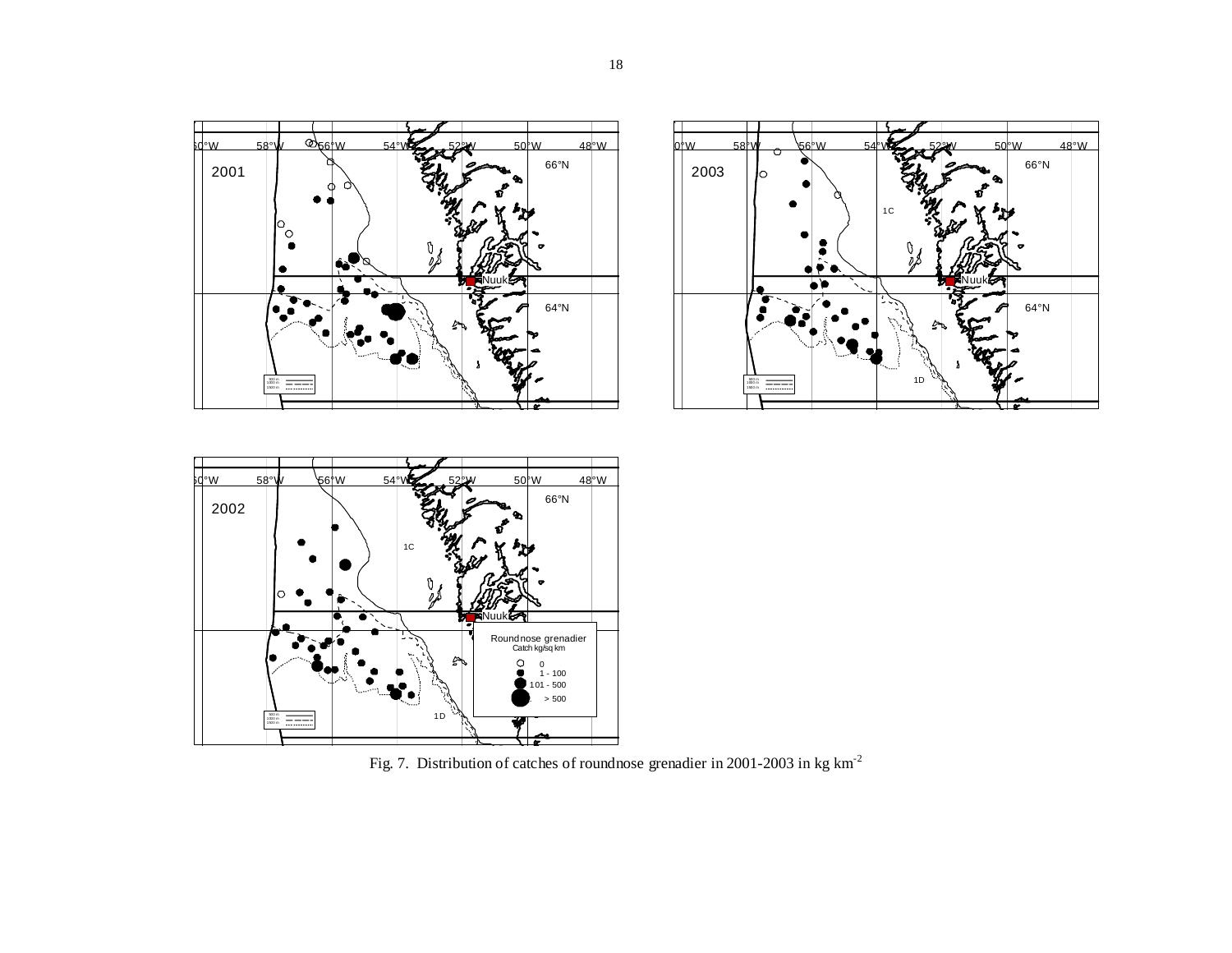





Fig. 7. Distribution of catches of roundnose grenadier in 2001-2003 in kg km-<sup>2</sup>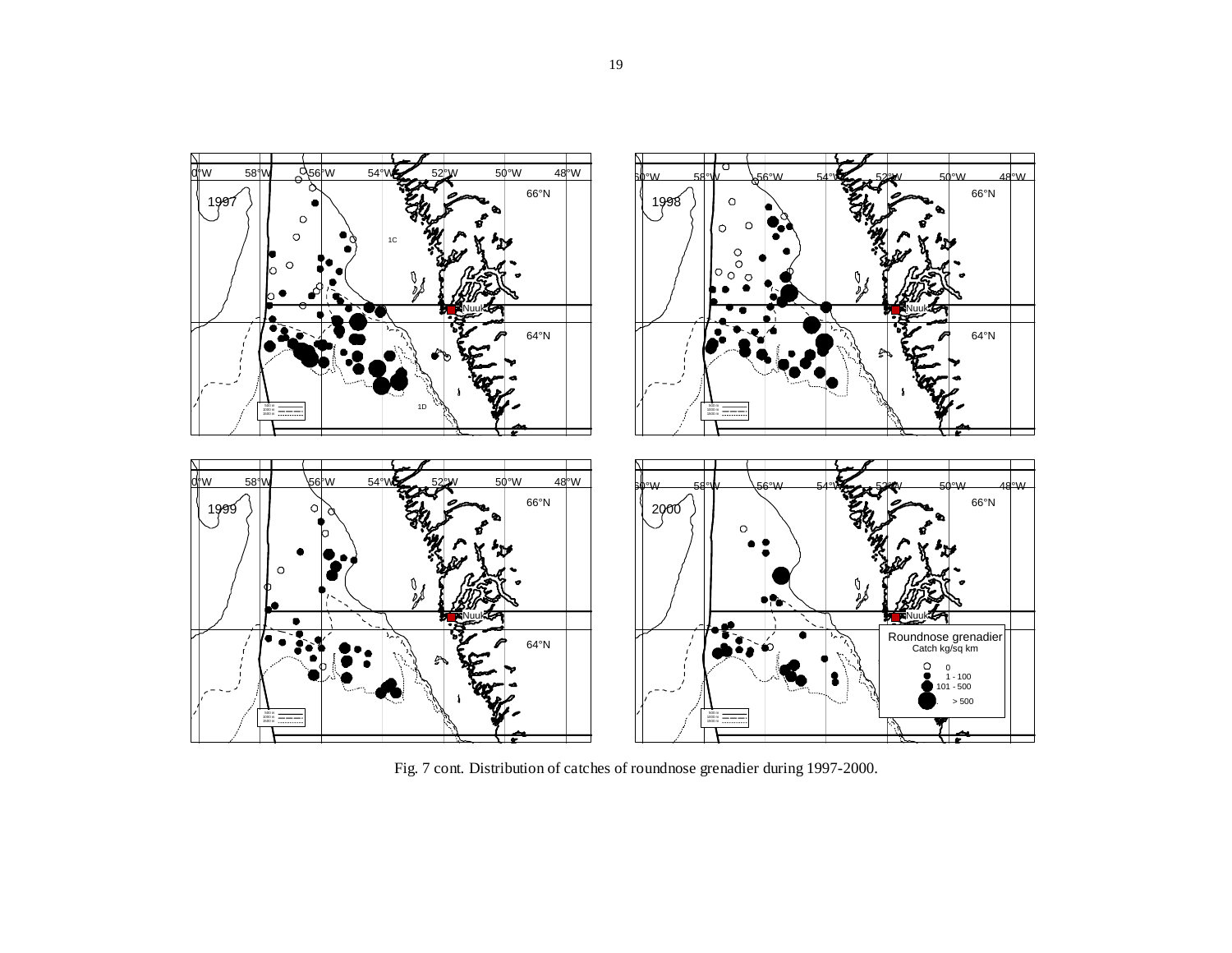

Fig. 7 cont. Distribution of catches of roundnose grenadier during 1997-2000.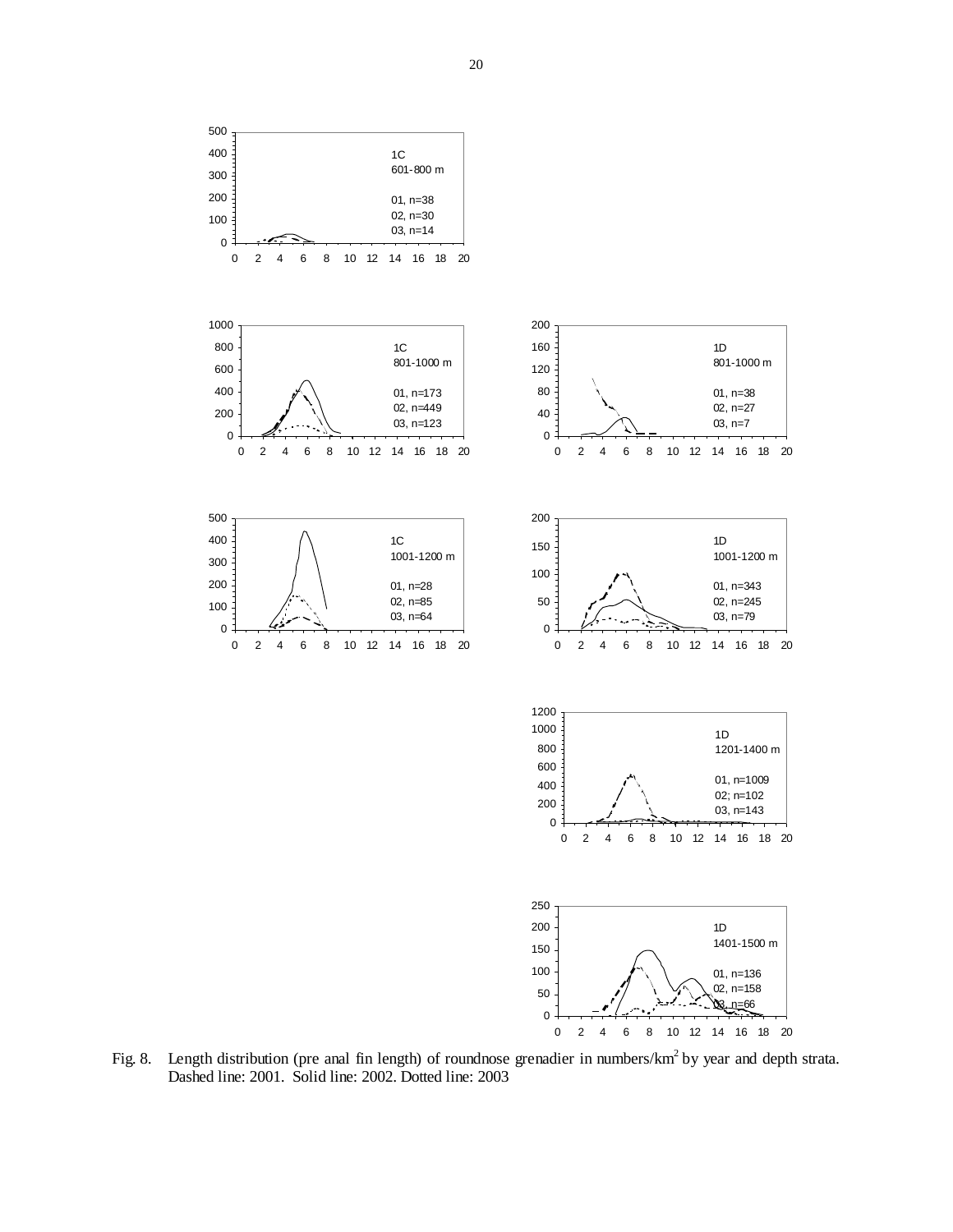

Fig. 8. Length distribution (pre anal fin length) of roundnose grenadier in numbers/km<sup>2</sup> by year and depth strata. Dashed line: 2001. Solid line: 2002. Dotted line: 2003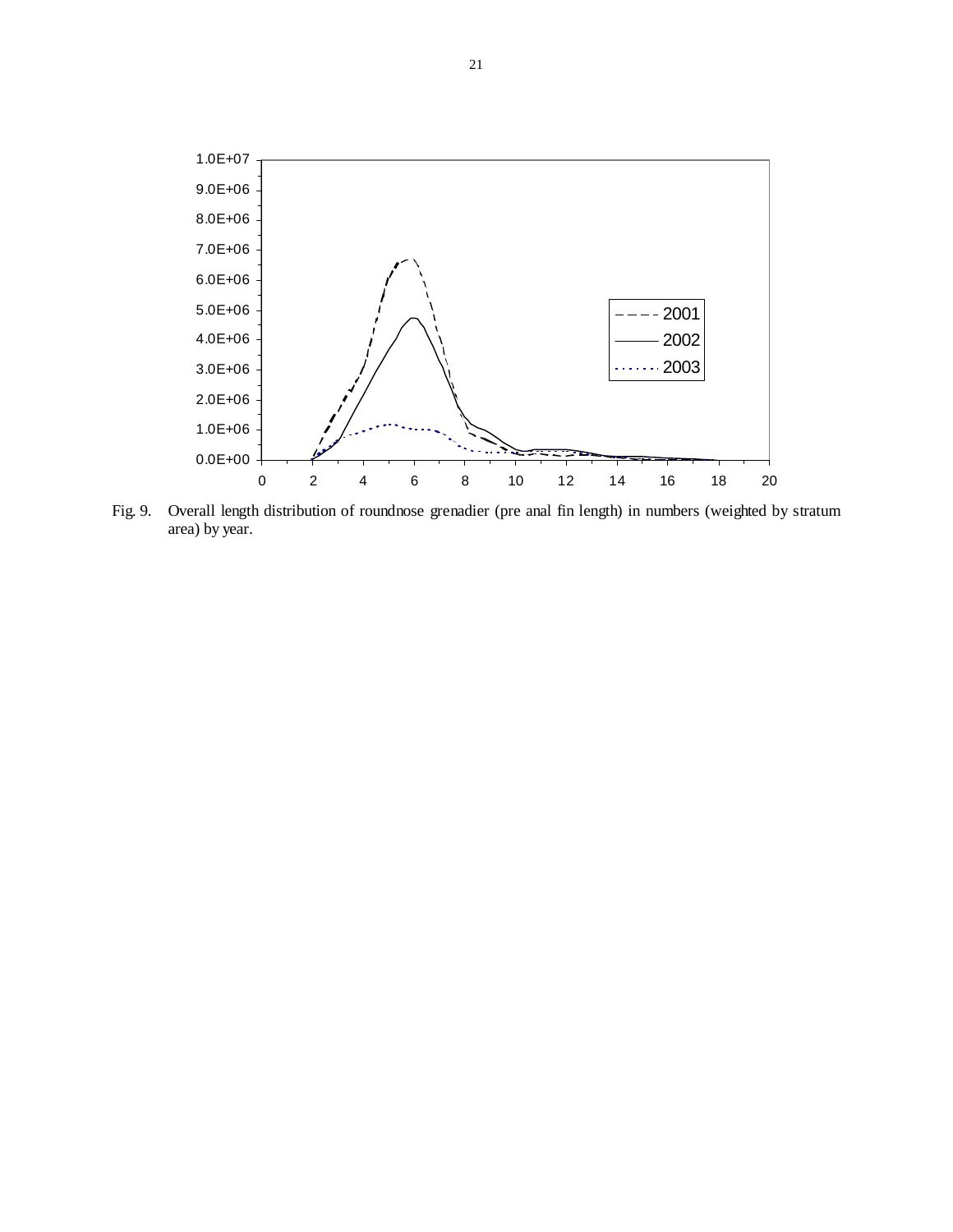

Fig. 9. Overall length distribution of roundnose grenadier (pre anal fin length) in numbers (weighted by stratum area) by year.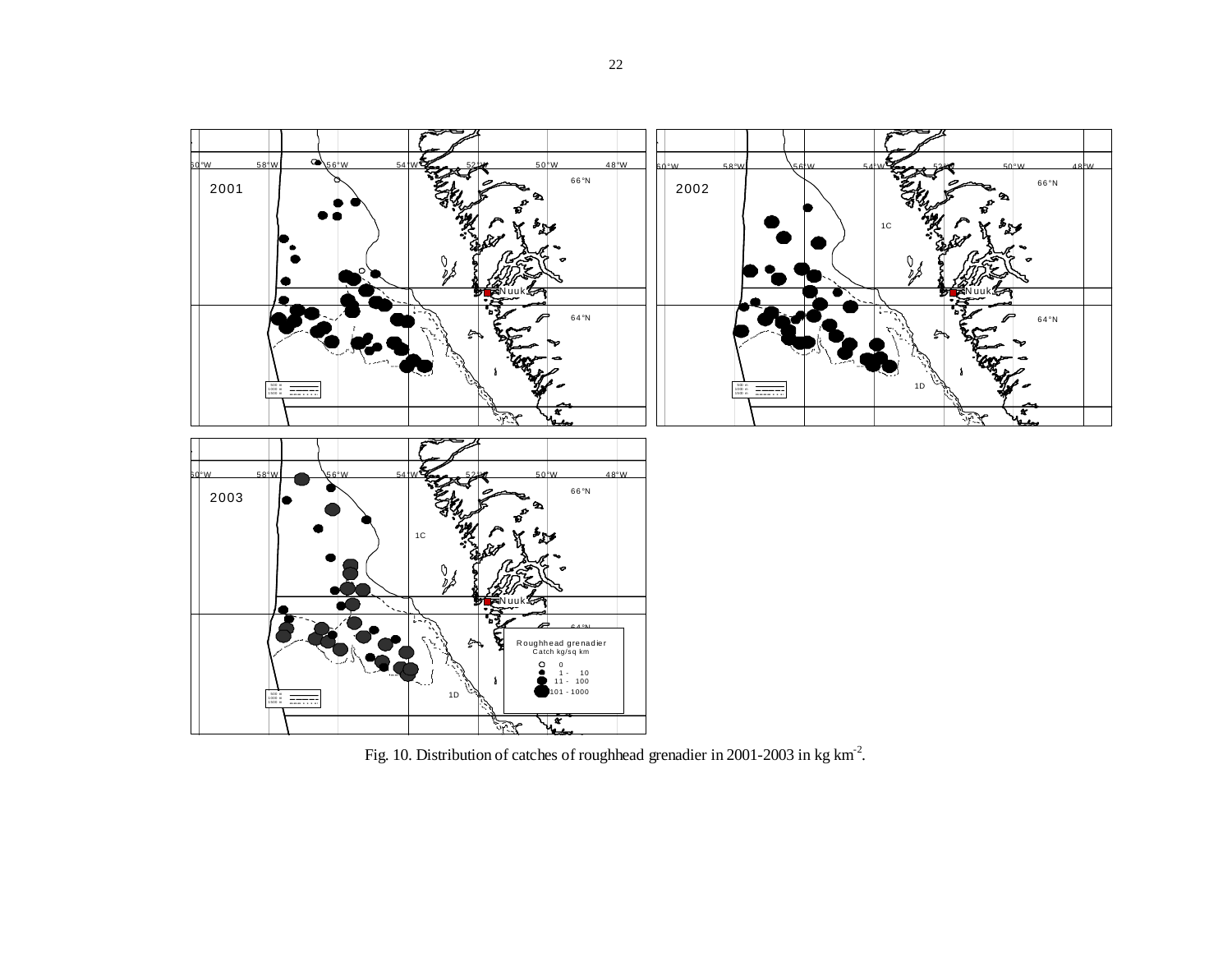

Fig. 10. Distribution of catches of roughhead grenadier in 2001-2003 in kg km-2.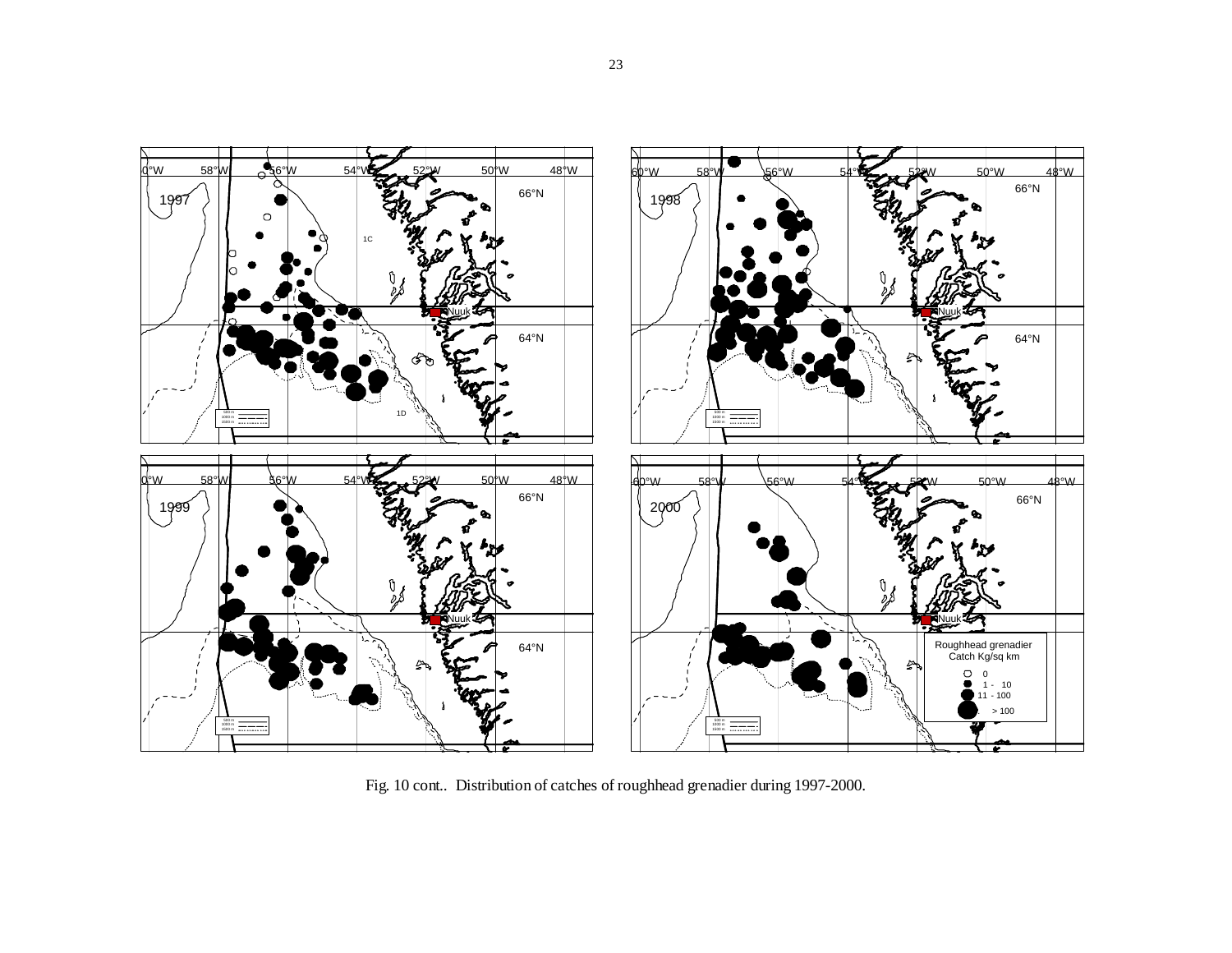

Fig. 10 cont.. Distribution of catches of roughhead grenadier during 1997-2000.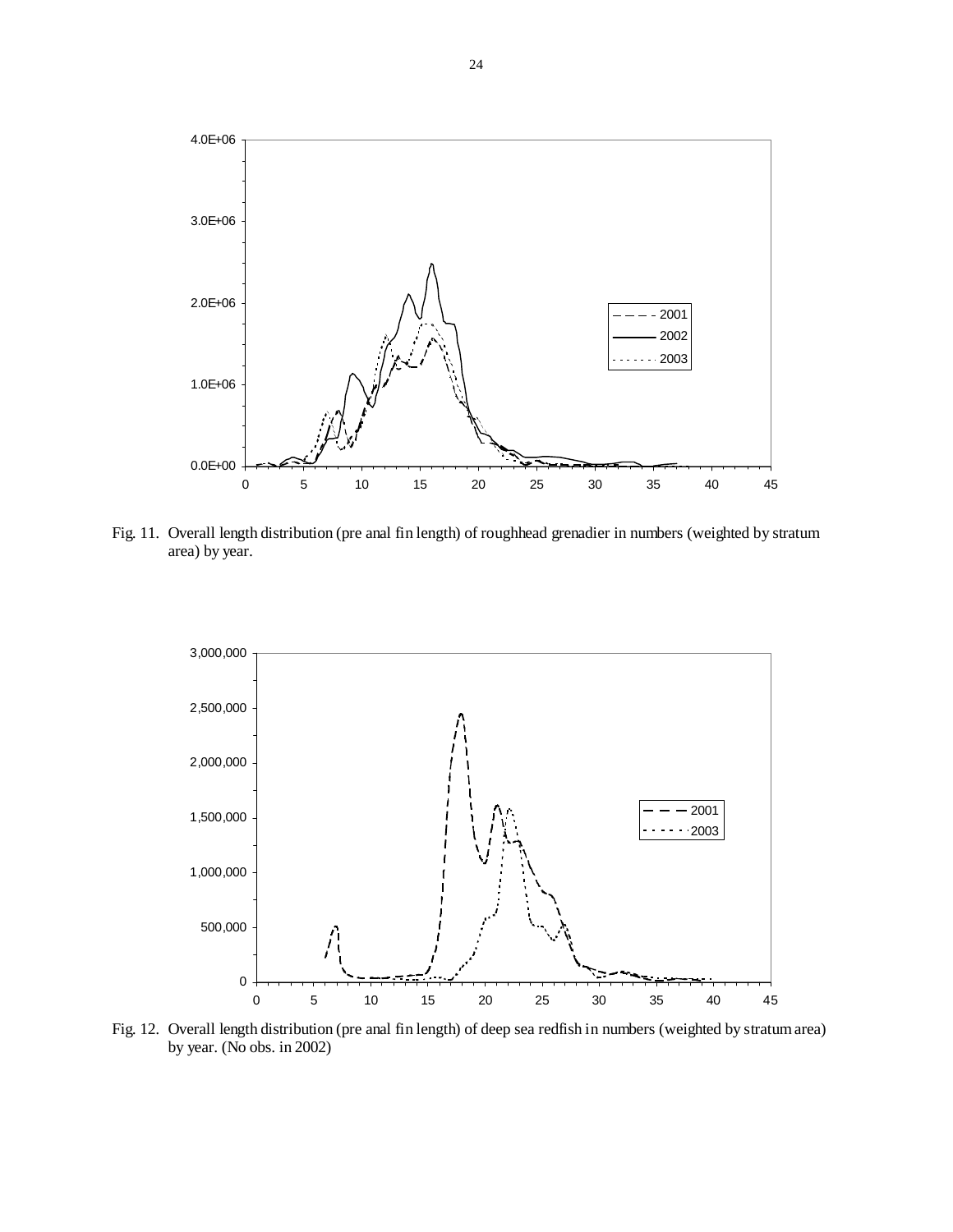

Fig. 11. Overall length distribution (pre anal fin length) of roughhead grenadier in numbers (weighted by stratum area) by year.



Fig. 12. Overall length distribution (pre anal fin length) of deep sea redfish in numbers (weighted by stratum area) by year. (No obs. in 2002)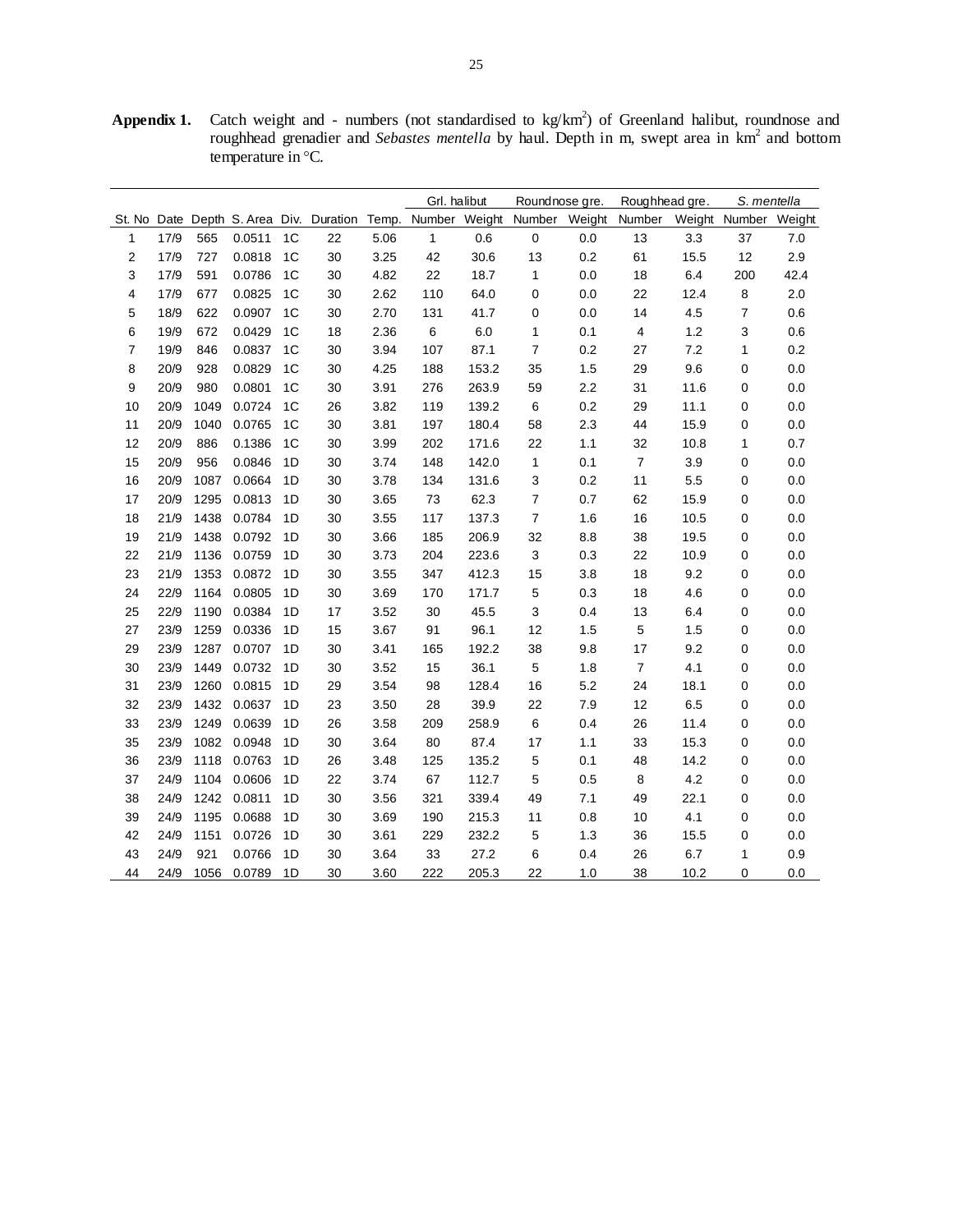**Appendix 1.** Catch weight and - numbers (not standardised to  $kg/km<sup>2</sup>$ ) of Greenland halibut, roundnose and roughhead grenadier and *Sebastes mentella* by haul. Depth in m, swept area in km<sup>2</sup> and bottom temperature in °C.

|                         |      |      |        |                |                             |       | Grl. halibut |       | Roundnose gre.              |     | Roughhead gre.          |      | S. mentella          |      |
|-------------------------|------|------|--------|----------------|-----------------------------|-------|--------------|-------|-----------------------------|-----|-------------------------|------|----------------------|------|
| St. No Date             |      |      |        |                | Depth S. Area Div. Duration | Temp. |              |       | Number Weight Number Weight |     | Number                  |      | Weight Number Weight |      |
| 1                       | 17/9 | 565  | 0.0511 | 1 <sup>C</sup> | 22                          | 5.06  | 1            | 0.6   | $\pmb{0}$                   | 0.0 | 13                      | 3.3  | 37                   | 7.0  |
| $\overline{2}$          | 17/9 | 727  | 0.0818 | 1 <sup>C</sup> | 30                          | 3.25  | 42           | 30.6  | 13                          | 0.2 | 61                      | 15.5 | 12                   | 2.9  |
| 3                       | 17/9 | 591  | 0.0786 | 1 <sup>C</sup> | 30                          | 4.82  | 22           | 18.7  | $\mathbf{1}$                | 0.0 | 18                      | 6.4  | 200                  | 42.4 |
| $\overline{\mathbf{4}}$ | 17/9 | 677  | 0.0825 | 1C             | 30                          | 2.62  | 110          | 64.0  | $\pmb{0}$                   | 0.0 | 22                      | 12.4 | $\bf8$               | 2.0  |
| 5                       | 18/9 | 622  | 0.0907 | 1 <sup>C</sup> | 30                          | 2.70  | 131          | 41.7  | 0                           | 0.0 | 14                      | 4.5  | 7                    | 0.6  |
| 6                       | 19/9 | 672  | 0.0429 | 1 <sup>C</sup> | 18                          | 2.36  | 6            | 6.0   | $\mathbf{1}$                | 0.1 | $\overline{\mathbf{4}}$ | 1.2  | 3                    | 0.6  |
| $\overline{7}$          | 19/9 | 846  | 0.0837 | 1 <sup>C</sup> | 30                          | 3.94  | 107          | 87.1  | $\overline{7}$              | 0.2 | 27                      | 7.2  | 1                    | 0.2  |
| 8                       | 20/9 | 928  | 0.0829 | 1 <sup>C</sup> | 30                          | 4.25  | 188          | 153.2 | 35                          | 1.5 | 29                      | 9.6  | 0                    | 0.0  |
| 9                       | 20/9 | 980  | 0.0801 | 1 <sup>C</sup> | 30                          | 3.91  | 276          | 263.9 | 59                          | 2.2 | 31                      | 11.6 | 0                    | 0.0  |
| 10                      | 20/9 | 1049 | 0.0724 | 1 <sup>C</sup> | 26                          | 3.82  | 119          | 139.2 | $\,6\,$                     | 0.2 | 29                      | 11.1 | 0                    | 0.0  |
| 11                      | 20/9 | 1040 | 0.0765 | 1 <sup>C</sup> | 30                          | 3.81  | 197          | 180.4 | 58                          | 2.3 | 44                      | 15.9 | 0                    | 0.0  |
| 12                      | 20/9 | 886  | 0.1386 | 1 <sup>C</sup> | 30                          | 3.99  | 202          | 171.6 | 22                          | 1.1 | 32                      | 10.8 | 1                    | 0.7  |
| 15                      | 20/9 | 956  | 0.0846 | 1D             | 30                          | 3.74  | 148          | 142.0 | $\mathbf{1}$                | 0.1 | $\overline{7}$          | 3.9  | 0                    | 0.0  |
| 16                      | 20/9 | 1087 | 0.0664 | 1D             | 30                          | 3.78  | 134          | 131.6 | 3                           | 0.2 | 11                      | 5.5  | 0                    | 0.0  |
| 17                      | 20/9 | 1295 | 0.0813 | 1D             | 30                          | 3.65  | 73           | 62.3  | $\overline{7}$              | 0.7 | 62                      | 15.9 | 0                    | 0.0  |
| 18                      | 21/9 | 1438 | 0.0784 | 1D             | 30                          | 3.55  | 117          | 137.3 | $\overline{7}$              | 1.6 | 16                      | 10.5 | 0                    | 0.0  |
| 19                      | 21/9 | 1438 | 0.0792 | 1D             | 30                          | 3.66  | 185          | 206.9 | 32                          | 8.8 | 38                      | 19.5 | 0                    | 0.0  |
| 22                      | 21/9 | 1136 | 0.0759 | 1D             | 30                          | 3.73  | 204          | 223.6 | 3                           | 0.3 | 22                      | 10.9 | 0                    | 0.0  |
| 23                      | 21/9 | 1353 | 0.0872 | 1D             | 30                          | 3.55  | 347          | 412.3 | 15                          | 3.8 | 18                      | 9.2  | 0                    | 0.0  |
| 24                      | 22/9 | 1164 | 0.0805 | 1D             | 30                          | 3.69  | 170          | 171.7 | $\mathbf 5$                 | 0.3 | 18                      | 4.6  | 0                    | 0.0  |
| 25                      | 22/9 | 1190 | 0.0384 | 1D             | 17                          | 3.52  | 30           | 45.5  | 3                           | 0.4 | 13                      | 6.4  | 0                    | 0.0  |
| 27                      | 23/9 | 1259 | 0.0336 | 1D             | 15                          | 3.67  | 91           | 96.1  | 12                          | 1.5 | $\sqrt{5}$              | 1.5  | 0                    | 0.0  |
| 29                      | 23/9 | 1287 | 0.0707 | 1D             | 30                          | 3.41  | 165          | 192.2 | 38                          | 9.8 | 17                      | 9.2  | 0                    | 0.0  |
| 30                      | 23/9 | 1449 | 0.0732 | 1D             | 30                          | 3.52  | 15           | 36.1  | 5                           | 1.8 | $\boldsymbol{7}$        | 4.1  | 0                    | 0.0  |
| 31                      | 23/9 | 1260 | 0.0815 | 1D             | 29                          | 3.54  | 98           | 128.4 | 16                          | 5.2 | 24                      | 18.1 | 0                    | 0.0  |
| 32                      | 23/9 | 1432 | 0.0637 | 1D             | 23                          | 3.50  | 28           | 39.9  | 22                          | 7.9 | 12                      | 6.5  | 0                    | 0.0  |
| 33                      | 23/9 | 1249 | 0.0639 | 1D             | 26                          | 3.58  | 209          | 258.9 | 6                           | 0.4 | 26                      | 11.4 | 0                    | 0.0  |
| 35                      | 23/9 | 1082 | 0.0948 | 1D             | 30                          | 3.64  | 80           | 87.4  | 17                          | 1.1 | 33                      | 15.3 | 0                    | 0.0  |
| 36                      | 23/9 | 1118 | 0.0763 | 1D             | 26                          | 3.48  | 125          | 135.2 | 5                           | 0.1 | 48                      | 14.2 | 0                    | 0.0  |
| 37                      | 24/9 | 1104 | 0.0606 | 1D             | 22                          | 3.74  | 67           | 112.7 | 5                           | 0.5 | 8                       | 4.2  | 0                    | 0.0  |
| 38                      | 24/9 | 1242 | 0.0811 | 1D             | 30                          | 3.56  | 321          | 339.4 | 49                          | 7.1 | 49                      | 22.1 | 0                    | 0.0  |
| 39                      | 24/9 | 1195 | 0.0688 | 1D             | 30                          | 3.69  | 190          | 215.3 | 11                          | 0.8 | 10                      | 4.1  | 0                    | 0.0  |
| 42                      | 24/9 | 1151 | 0.0726 | 1D             | 30                          | 3.61  | 229          | 232.2 | 5                           | 1.3 | 36                      | 15.5 | 0                    | 0.0  |
| 43                      | 24/9 | 921  | 0.0766 | 1D             | 30                          | 3.64  | 33           | 27.2  | 6                           | 0.4 | 26                      | 6.7  | 1                    | 0.9  |
| 44                      | 24/9 | 1056 | 0.0789 | 1D             | 30                          | 3.60  | 222          | 205.3 | 22                          | 1.0 | 38                      | 10.2 | 0                    | 0.0  |